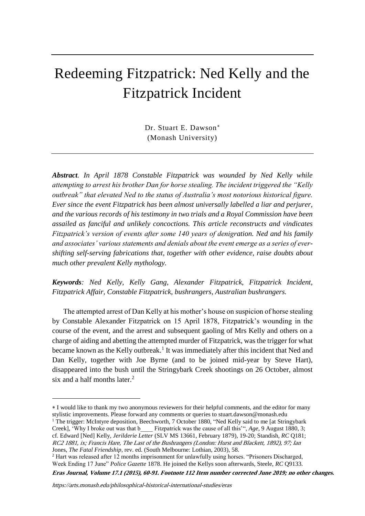# Redeeming Fitzpatrick: Ned Kelly and the Fitzpatrick Incident

Dr. Stuart E. Dawson (Monash University)

*Abstract. In April 1878 Constable Fitzpatrick was wounded by Ned Kelly while attempting to arrest his brother Dan for horse stealing. The incident triggered the "Kelly outbreak" that elevated Ned to the status of Australia's most notorious historical figure. Ever since the event Fitzpatrick has been almost universally labelled a liar and perjurer, and the various records of his testimony in two trials and a Royal Commission have been assailed as fanciful and unlikely concoctions. This article reconstructs and vindicates Fitzpatrick's version of events after some 140 years of denigration. Ned and his family and associates' various statements and denials about the event emerge as a series of evershifting self-serving fabrications that, together with other evidence, raise doubts about much other prevalent Kelly mythology.*

*Keywords: Ned Kelly, Kelly Gang, Alexander Fitzpatrick, Fitzpatrick Incident, Fitzpatrick Affair, Constable Fitzpatrick, bushrangers, Australian bushrangers.*

The attempted arrest of Dan Kelly at his mother's house on suspicion of horse stealing by Constable Alexander Fitzpatrick on 15 April 1878, Fitzpatrick's wounding in the course of the event, and the arrest and subsequent gaoling of Mrs Kelly and others on a charge of aiding and abetting the attempted murder of Fitzpatrick, was the trigger for what became known as the Kelly outbreak.<sup>1</sup> It was immediately after this incident that Ned and Dan Kelly, together with Joe Byrne (and to be joined mid-year by Steve Hart), disappeared into the bush until the Stringybark Creek shootings on 26 October, almost six and a half months later. $<sup>2</sup>$ </sup>

**Eras Journal, Volume 17.1 (2015), 60-91. Footnote 112 Item number corrected June 2019; no other changes.** 

I would like to thank my two anonymous reviewers for their helpful comments, and the editor for many stylistic improvements. Please forward any comments or queries to stuart.dawson@monash.edu

<sup>&</sup>lt;sup>1</sup> The trigger: McIntyre deposition, Beechworth, 7 October 1880, "Ned Kelly said to me [at Stringybark] Creek], 'Why I broke out was that b\_\_\_\_ Fitzpatrick was the cause of all this'", *Age,* 9 August 1880, 3; cf. Edward [Ned] Kelly, *Jerilderie Letter* (SLV MS 13661, February 1879), 19-20; Standish, *RC* Q181; Jones, *The Fatal Friendship,* rev. ed. (South Melbourne: Lothian, 2003), 58. RC2 1881, ix; Francis Hare, The Last of the Bushrangers (London: Hurst and Blackett, 1892), 97; Ian

 $<sup>2</sup>$  Hart was released after 12 months imprisonment for unlawfully using horses. "Prisoners Discharged,</sup> Week Ending 17 June" *Police Gazette* 1878. He joined the Kellys soon afterwards, Steele, *RC* Q9133.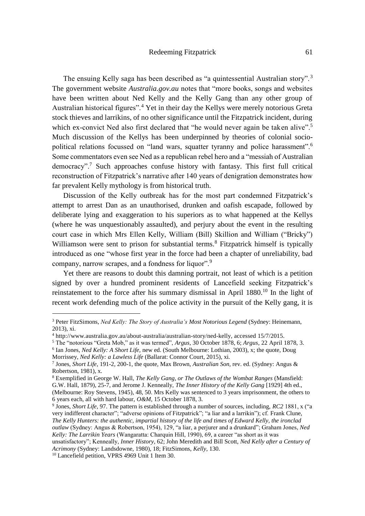The ensuing Kelly saga has been described as "a quintessential Australian story". <sup>3</sup> The government website *Australia.gov.au* notes that "more books, songs and websites have been written about Ned Kelly and the Kelly Gang than any other group of Australian historical figures".<sup>4</sup> Yet in their day the Kellys were merely notorious Greta stock thieves and larrikins, of no other significance until the Fitzpatrick incident, during which ex-convict Ned also first declared that "he would never again be taken alive".<sup>5</sup> Much discussion of the Kellys has been underpinned by theories of colonial sociopolitical relations focussed on "land wars, squatter tyranny and police harassment".<sup>6</sup> Some commentators even see Ned as a republican rebel hero and a "messiah of Australian democracy".<sup>7</sup> Such approaches confuse history with fantasy. This first full critical reconstruction of Fitzpatrick's narrative after 140 years of denigration demonstrates how far prevalent Kelly mythology is from historical truth.

Discussion of the Kelly outbreak has for the most part condemned Fitzpatrick's attempt to arrest Dan as an unauthorised, drunken and oafish escapade, followed by deliberate lying and exaggeration to his superiors as to what happened at the Kellys (where he was unquestionably assaulted), and perjury about the event in the resulting court case in which Mrs Ellen Kelly, William (Bill) Skillion and William ("Bricky") Williamson were sent to prison for substantial terms.<sup>8</sup> Fitzpatrick himself is typically introduced as one "whose first year in the force had been a chapter of unreliability, bad company, narrow scrapes, and a fondness for liquor".<sup>9</sup>

Yet there are reasons to doubt this damning portrait, not least of which is a petition signed by over a hundred prominent residents of Lancefield seeking Fitzpatrick's reinstatement to the force after his summary dismissal in April 1880.<sup>10</sup> In the light of recent work defending much of the police activity in the pursuit of the Kelly gang, it is

<sup>3</sup> Peter FitzSimons, *Ned Kelly: The Story of Australia's Most Notorious Legend* (Sydney: Heinemann, 2013), xi.

<sup>4</sup> http://www.australia.gov.au/about-australia/australian-story/ned-kelly, accessed 15/7/2015.

<sup>5</sup> The "notorious "Greta Mob," as it was termed", *Argus,* 30 October 1878, 6; *Argus,* 22 April 1878, 3.

<sup>6</sup> Ian Jones, *Ned Kelly: A Short Life,* new ed. (South Melbourne: Lothian, 2003), x; the quote, Doug

Morrissey, *Ned Kelly: a Lawless Life* (Ballarat: Connor Court, 2015), xi.

<sup>7</sup> Jones, *Short Life,* 191-2, 200-1, the quote, Max Brown, *Australian Son,* rev. ed. (Sydney: Angus & Robertson, 1981), x.

<sup>8</sup> Exemplified in George W. Hall, *The Kelly Gang, or The Outlaws of the Wombat Ranges* (Mansfield: G.W. Hall, 1879), 25-7, and Jerome J. Kenneally, *The Inner History of the Kelly Gang* [1929] 4th ed., (Melbourne: Roy Stevens, 1945), 48, 50. Mrs Kelly was sentenced to 3 years imprisonment, the others to 6 years each, all with hard labour, *O&M,* 15 October 1878, 3.

<sup>9</sup> Jones, *Short Life,* 97. The pattern is established through a number of sources, including, *RC2* 1881, x ("a very indifferent character"; "adverse opinions of Fitzpatrick"; "a liar and a larrikin"); cf. Frank Clune, *The Kelly Hunters: the authentic, impartial history of the life and times of Edward Kelly, the ironclad outlaw* (Sydney: Angus & Robertson, 1954), 129, "a liar, a perjurer and a drunkard"; Graham Jones, *Ned Kelly: The Larrikin Years* (Wangaratta: Charquin Hill, 1990), 69, a career "as short as it was unsatisfactory"; Kenneally, *Inner History,* 62; John Meredith and Bill Scott, *Ned Kelly after a Century of* 

*Acrimony* (Sydney: Landsdowne, 1980), 18; FitzSimons, *Kelly*, 130.

<sup>&</sup>lt;sup>10</sup> Lancefield petition, VPRS 4969 Unit 1 Item 30.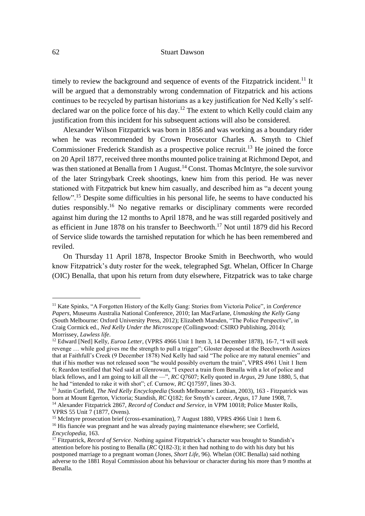timely to review the background and sequence of events of the Fitzpatrick incident.<sup>11</sup> It will be argued that a demonstrably wrong condemnation of Fitzpatrick and his actions continues to be recycled by partisan historians as a key justification for Ned Kelly's selfdeclared war on the police force of his day.<sup>12</sup> The extent to which Kelly could claim any justification from this incident for his subsequent actions will also be considered.

Alexander Wilson Fitzpatrick was born in 1856 and was working as a boundary rider when he was recommended by Crown Prosecutor Charles A. Smyth to Chief Commissioner Frederick Standish as a prospective police recruit.<sup>13</sup> He joined the force on 20 April 1877, received three months mounted police training at Richmond Depot, and was then stationed at Benalla from 1 August.<sup>14</sup> Const. Thomas McIntyre, the sole survivor of the later Stringybark Creek shootings, knew him from this period. He was never stationed with Fitzpatrick but knew him casually, and described him as "a decent young fellow".<sup>15</sup> Despite some difficulties in his personal life, he seems to have conducted his duties responsibly.<sup>16</sup> No negative remarks or disciplinary comments were recorded against him during the 12 months to April 1878, and he was still regarded positively and as efficient in June 1878 on his transfer to Beechworth.<sup>17</sup> Not until 1879 did his Record of Service slide towards the tarnished reputation for which he has been remembered and reviled.

On Thursday 11 April 1878, Inspector Brooke Smith in Beechworth, who would know Fitzpatrick's duty roster for the week, telegraphed Sgt. Whelan, Officer In Charge (OIC) Benalla, that upon his return from duty elsewhere, Fitzpatrick was to take charge

<sup>11</sup> Kate Spinks, "A Forgotten History of the Kelly Gang: Stories from Victoria Police", in *Conference Papers,* Museums Australia National Conference, 2010; Ian MacFarlane, *Unmasking the Kelly Gang* (South Melbourne: Oxford University Press, 2012); Elizabeth Marsden, "The Police Perspective", in Craig Cormick ed., *Ned Kelly Under the Microscope* (Collingwood: CSIRO Publishing, 2014); Morrissey, *Lawless life*.

<sup>&</sup>lt;sup>12</sup> Edward [Ned] Kelly, *Euroa Letter*, (VPRS 4966 Unit 1 Item 3, 14 December 1878), 16-7, "I will seek revenge … while god gives me the strength to pull a trigger"; Gloster deposed at the Beechworth Assizes that at Faithfull's Creek (9 December 1878) Ned Kelly had said "The police are my natural enemies" and that if his mother was not released soon "he would possibly overturn the train", VPRS 4961 Unit 1 Item 6; Reardon testified that Ned said at Glenrowan, "I expect a train from Benalla with a lot of police and black fellows, and I am going to kill all the —", *RC* Q7607; Kelly quoted in *Argus,* 29 June 1880, 5, that he had "intended to rake it with shot"; cf. Curnow, *RC* Q17597, lines 30-3.

<sup>13</sup> Justin Corfield, *The Ned Kelly Encyclopedia* (South Melbourne: Lothian, 2003), 163 - Fitzpatrick was born at Mount Egerton, Victoria; Standish, *RC* Q182; for Smyth's career, *Argus,* 17 June 1908, 7. <sup>14</sup> Alexander Fitzpatrick 2867, *Record of Conduct and Service*, in VPM 10018; Police Muster Rolls, VPRS 55 Unit 7 (1877, Ovens).

<sup>&</sup>lt;sup>15</sup> McIntyre prosecution brief (cross-examination), 7 August 1880, VPRS 4966 Unit 1 Item 6.

<sup>&</sup>lt;sup>16</sup> His fiancée was pregnant and he was already paying maintenance elsewhere; see Corfield, *Encyclopedia*, 163.

<sup>17</sup> Fitzpatrick, *Record of Service*. Nothing against Fitzpatrick's character was brought to Standish's attention before his posting to Benalla (*RC* Q182-3); it then had nothing to do with his duty but his postponed marriage to a pregnant woman (Jones, *Short Life*, 96). Whelan (OIC Benalla) said nothing adverse to the 1881 Royal Commission about his behaviour or character during his more than 9 months at Benalla.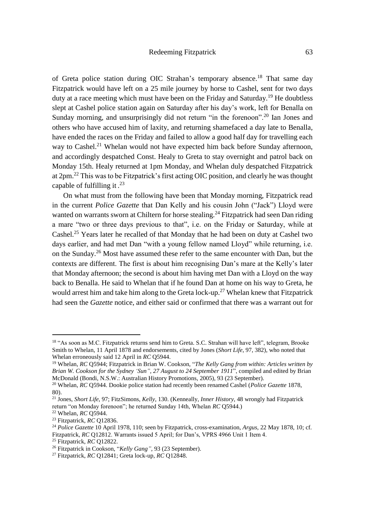# Redeeming Fitzpatrick 63

of Greta police station during OIC Strahan's temporary absence.<sup>18</sup> That same day Fitzpatrick would have left on a 25 mile journey by horse to Cashel, sent for two days duty at a race meeting which must have been on the Friday and Saturday.<sup>19</sup> He doubtless slept at Cashel police station again on Saturday after his day's work, left for Benalla on Sunday morning, and unsurprisingly did not return "in the forenoon".<sup>20</sup> Ian Jones and others who have accused him of laxity, and returning shamefaced a day late to Benalla, have ended the races on the Friday and failed to allow a good half day for travelling each way to Cashel.<sup>21</sup> Whelan would not have expected him back before Sunday afternoon, and accordingly despatched Const. Healy to Greta to stay overnight and patrol back on Monday 15th. Healy returned at 1pm Monday, and Whelan duly despatched Fitzpatrick at 2pm.<sup>22</sup> This was to be Fitzpatrick's first acting OIC position, and clearly he was thought capable of fulfilling it . 23

On what must from the following have been that Monday morning, Fitzpatrick read in the current *Police Gazette* that Dan Kelly and his cousin John ("Jack") Lloyd were wanted on warrants sworn at Chiltern for horse stealing.<sup>24</sup> Fitzpatrick had seen Dan riding a mare "two or three days previous to that", i.e. on the Friday or Saturday, while at Cashel.<sup>25</sup> Years later he recalled of that Monday that he had been on duty at Cashel two days earlier, and had met Dan "with a young fellow named Lloyd" while returning, i.e. on the Sunday.<sup>26</sup> Most have assumed these refer to the same encounter with Dan, but the contexts are different. The first is about him recognising Dan's mare at the Kelly's later that Monday afternoon; the second is about him having met Dan with a Lloyd on the way back to Benalla. He said to Whelan that if he found Dan at home on his way to Greta, he would arrest him and take him along to the Greta lock-up.<sup>27</sup> Whelan knew that Fitzpatrick had seen the *Gazette* notice, and either said or confirmed that there was a warrant out for

<sup>&</sup>lt;sup>18</sup> "As soon as M.C. Fitzpatrick returns send him to Greta. S.C. Strahan will have left", telegram, Brooke Smith to Whelan, 11 April 1878 and endorsements, cited by Jones (*Short Life*, 97, 382), who noted that Whelan erroneously said 12 April in *RC* Q5944.

<sup>19</sup> Whelan, *RC* Q5944; Fitzpatrick in Brian W. Cookson, "*The Kelly Gang from within: Articles written by Brian W. Cookson for the Sydney 'Sun", 27 August to 24 September 1911*", compiled and edited by Brian McDonald (Bondi, N.S.W.: Australian History Promotions, 2005), 93 (23 September).

<sup>&</sup>lt;sup>20</sup> Whelan, *RC* O5944. Dookie police station had recently been renamed Cashel (*Police Gazette* 1878, 80).

<sup>21</sup> Jones, *Short Life*, 97; FitzSimons, *Kelly*, 130. (Kenneally, *Inner History,* 48 wrongly had Fitzpatrick return "on Monday forenoon"; he returned Sunday 14th, Whelan *RC* Q5944.)

<sup>22</sup> Whelan, *RC* Q5944.

<sup>23</sup> Fitzpatrick, *RC* Q12836.

<sup>24</sup> *Police Gazette* 10 April 1978, 110; seen by Fitzpatrick, cross-examination, *Argus,* 22 May 1878, 10; cf. Fitzpatrick, *RC* Q12812. Warrants issued 5 April; for Dan's, VPRS 4966 Unit 1 Item 4.

<sup>25</sup> Fitzpatrick, *RC* Q12822.

<sup>26</sup> Fitzpatrick in Cookson, "*Kelly Gang"*, 93 (23 September).

<sup>27</sup> Fitzpatrick, *RC* Q12841; Greta lock-up, *RC* Q12848.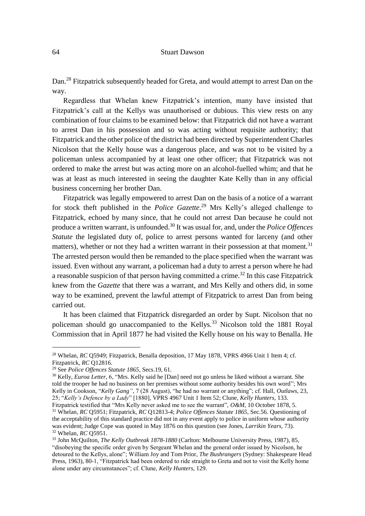Dan.<sup>28</sup> Fitzpatrick subsequently headed for Greta, and would attempt to arrest Dan on the way.

Regardless that Whelan knew Fitzpatrick's intention, many have insisted that Fitzpatrick's call at the Kellys was unauthorised or dubious. This view rests on any combination of four claims to be examined below: that Fitzpatrick did not have a warrant to arrest Dan in his possession and so was acting without requisite authority; that Fitzpatrick and the other police of the district had been directed by Superintendent Charles Nicolson that the Kelly house was a dangerous place, and was not to be visited by a policeman unless accompanied by at least one other officer; that Fitzpatrick was not ordered to make the arrest but was acting more on an alcohol-fuelled whim; and that he was at least as much interested in seeing the daughter Kate Kelly than in any official business concerning her brother Dan.

Fitzpatrick was legally empowered to arrest Dan on the basis of a notice of a warrant for stock theft published in the *Police Gazette*. <sup>29</sup> Mrs Kelly's alleged challenge to Fitzpatrick, echoed by many since, that he could not arrest Dan because he could not produce a written warrant, is unfounded.<sup>30</sup> It was usual for, and, under the *Police Offences Statute* the legislated duty of, police to arrest persons wanted for larceny (and other matters), whether or not they had a written warrant in their possession at that moment.<sup>31</sup> The arrested person would then be remanded to the place specified when the warrant was issued. Even without any warrant, a policeman had a duty to arrest a person where he had a reasonable suspicion of that person having committed a crime.<sup>32</sup> In this case Fitzpatrick knew from the *Gazette* that there was a warrant, and Mrs Kelly and others did, in some way to be examined, prevent the lawful attempt of Fitzpatrick to arrest Dan from being carried out.

It has been claimed that Fitzpatrick disregarded an order by Supt. Nicolson that no policeman should go unaccompanied to the Kellys.<sup>33</sup> Nicolson told the 1881 Royal Commission that in April 1877 he had visited the Kelly house on his way to Benalla. He

<sup>&</sup>lt;sup>28</sup> Whelan, *RC* Q5949; Fitzpatrick, Benalla deposition, 17 May 1878, VPRS 4966 Unit 1 Item 4; cf. Fitzpatrick, *RC* Q12816.

<sup>29</sup> See *Police Offences Statute 1865*, Secs.19, 61.

<sup>&</sup>lt;sup>30</sup> Kelly, *Euroa Letter*, 6, "Mrs. Kelly said he [Dan] need not go unless he liked without a warrant. She told the trooper he had no business on her premises without some authority besides his own word"; Mrs Kelly in Cookson, "*Kelly Gang"*, 7 (28 August), "he had no warrant or anything"; cf. Hall, *Outlaws*, 23, 25; "*Kelly's Defence by a Lady*" [1880], VPRS 4967 Unit 1 Item 52; Clune, *Kelly Hunters*, 133.

Fitzpatrick testified that "Mrs Kelly never asked me to see the warrant", *O&M,* 10 October 1878, 5. <sup>31</sup> Whelan, *RC* Q5951; Fitzpatrick, *RC* Q12813-4; *Police Offences Statute 1865*, Sec.56. Questioning of the acceptability of this standard practice did not in any event apply to police in uniform whose authority was evident; Judge Cope was quoted in May 1876 on this question (see Jones, *Larrikin Years*, 73). <sup>32</sup> Whelan, *RC* Q5951.

<sup>33</sup> John McQuilton, *The Kelly Outbreak 1878-1880* (Carlton: Melbourne University Press, 1987), 85, "disobeying the specific order given by Sergeant Whelan and the general order issued by Nicolson, he detoured to the Kellys, alone"; William Joy and Tom Prior, *The Bushrangers* (Sydney: Shakespeare Head Press, 1963), 80-1, "Fitzpatrick had been ordered to ride straight to Greta and not to visit the Kelly home alone under any circumstances"; cf. Clune, *Kelly Hunters*, 129.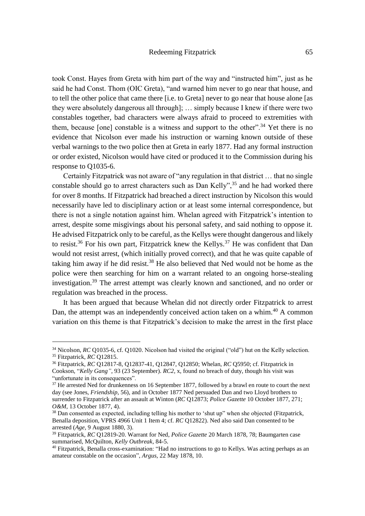took Const. Hayes from Greta with him part of the way and "instructed him", just as he said he had Const. Thom (OIC Greta), "and warned him never to go near that house, and to tell the other police that came there [i.e. to Greta] never to go near that house alone [as they were absolutely dangerous all through]; … simply because I knew if there were two constables together, bad characters were always afraid to proceed to extremities with them, because [one] constable is a witness and support to the other".<sup>34</sup> Yet there is no evidence that Nicolson ever made his instruction or warning known outside of these verbal warnings to the two police then at Greta in early 1877. Had any formal instruction or order existed, Nicolson would have cited or produced it to the Commission during his response to Q1035-6.

Certainly Fitzpatrick was not aware of "any regulation in that district … that no single constable should go to arrest characters such as Dan Kelly",  $35$  and he had worked there for over 8 months. If Fitzpatrick had breached a direct instruction by Nicolson this would necessarily have led to disciplinary action or at least some internal correspondence, but there is not a single notation against him. Whelan agreed with Fitzpatrick's intention to arrest, despite some misgivings about his personal safety, and said nothing to oppose it. He advised Fitzpatrick only to be careful, as the Kellys were thought dangerous and likely to resist.<sup>36</sup> For his own part, Fitzpatrick knew the Kellys.<sup>37</sup> He was confident that Dan would not resist arrest, (which initially proved correct), and that he was quite capable of taking him away if he did resist.<sup>38</sup> He also believed that Ned would not be home as the police were then searching for him on a warrant related to an ongoing horse-stealing investigation.<sup>39</sup> The arrest attempt was clearly known and sanctioned, and no order or regulation was breached in the process.

It has been argued that because Whelan did not directly order Fitzpatrick to arrest Dan, the attempt was an independently conceived action taken on a whim.<sup>40</sup> A common variation on this theme is that Fitzpatrick's decision to make the arrest in the first place

<sup>&</sup>lt;sup>34</sup> Nicolson, *RC* Q1035-6, cf. Q1020. Nicolson had visited the original ("old") hut on the Kelly selection. <sup>35</sup> Fitzpatrick, *RC* Q12815.

<sup>36</sup> Fitzpatrick, *RC* Q12817-8, Q12837-41, Q12847, Q12850; Whelan, *RC* Q5950; cf. Fitzpatrick in Cookson, "*Kelly Gang"*, 93 (23 September). *RC2*, x, found no breach of duty, though his visit was "unfortunate in its consequences".

<sup>&</sup>lt;sup>37</sup> He arrested Ned for drunkenness on 16 September 1877, followed by a brawl en route to court the next day (see Jones, *Friendship*, 56), and in October 1877 Ned persuaded Dan and two Lloyd brothers to surrender to Fitzpatrick after an assault at Winton (*RC* Q12873; *Police Gazette* 10 October 1877, 271; *O&M,* 13 October 1877, 4).

<sup>&</sup>lt;sup>38</sup> Dan consented as expected, including telling his mother to 'shut up" when she objected (Fitzpatrick, Benalla deposition, VPRS 4966 Unit 1 Item 4; cf. *RC* Q12822). Ned also said Dan consented to be arrested (*Age,* 9 August 1880, 3).

<sup>39</sup> Fitzpatrick, *RC* Q12819-20. Warrant for Ned, *Police Gazette* 20 March 1878, 78; Baumgarten case summarised, McQuilton, *Kelly Outbreak,* 84-5.

<sup>&</sup>lt;sup>40</sup> Fitzpatrick, Benalla cross-examination: "Had no instructions to go to Kellys. Was acting perhaps as an amateur constable on the occasion", *Argus,* 22 May 1878, 10.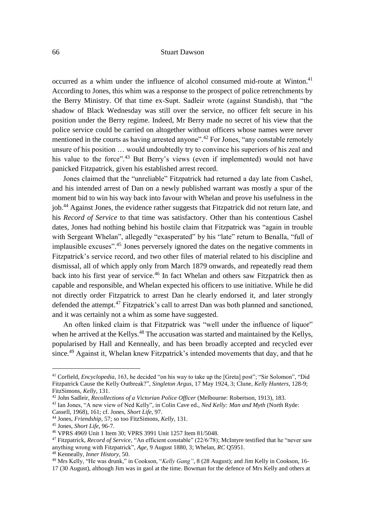occurred as a whim under the influence of alcohol consumed mid-route at Winton.<sup>41</sup> According to Jones, this whim was a response to the prospect of police retrenchments by the Berry Ministry. Of that time ex-Supt. Sadleir wrote (against Standish), that "the shadow of Black Wednesday was still over the service, no officer felt secure in his position under the Berry regime. Indeed, Mr Berry made no secret of his view that the police service could be carried on altogether without officers whose names were never mentioned in the courts as having arrested anyone".<sup>42</sup> For Jones, "any constable remotely unsure of his position … would undoubtedly try to convince his superiors of his zeal and his value to the force".<sup>43</sup> But Berry's views (even if implemented) would not have panicked Fitzpatrick, given his established arrest record.

Jones claimed that the "unreliable" Fitzpatrick had returned a day late from Cashel, and his intended arrest of Dan on a newly published warrant was mostly a spur of the moment bid to win his way back into favour with Whelan and prove his usefulness in the job.<sup>44</sup> Against Jones, the evidence rather suggests that Fitzpatrick did not return late, and his *Record of Service* to that time was satisfactory. Other than his contentious Cashel dates, Jones had nothing behind his hostile claim that Fitzpatrick was "again in trouble with Sergeant Whelan", allegedly "exasperated" by his "late" return to Benalla, "full of implausible excuses".<sup>45</sup> Jones perversely ignored the dates on the negative comments in Fitzpatrick's service record, and two other files of material related to his discipline and dismissal, all of which apply only from March 1879 onwards, and repeatedly read them back into his first year of service.<sup>46</sup> In fact Whelan and others saw Fitzpatrick then as capable and responsible, and Whelan expected his officers to use initiative. While he did not directly order Fitzpatrick to arrest Dan he clearly endorsed it, and later strongly defended the attempt.<sup>47</sup> Fitzpatrick's call to arrest Dan was both planned and sanctioned, and it was certainly not a whim as some have suggested.

An often linked claim is that Fitzpatrick was "well under the influence of liquor" when he arrived at the Kellys.<sup>48</sup> The accusation was started and maintained by the Kellys, popularised by Hall and Kenneally, and has been broadly accepted and recycled ever since.<sup>49</sup> Against it, Whelan knew Fitzpatrick's intended movements that day, and that he

<sup>41</sup> Corfield, *Encyclopedia*, 163, he decided "on his way to take up the [Greta] post"; "Sir Solomon", "Did Fitzpatrick Cause the Kelly Outbreak?", *Singleton Argus*, 17 May 1924, 3; Clune, *Kelly Hunters*, 128-9; FitzSimons, *Kelly*, 131.

<sup>42</sup> John Sadleir, *Recollections of a Victorian Police Officer* (Melbourne: Robertson, 1913), 183.

<sup>43</sup> Ian Jones, "A new view of Ned Kelly", in Colin Cave ed., *Ned Kelly: Man and Myth* (North Ryde:

Cassell, 1968), 161; cf. Jones, *Short Life*, 97.

<sup>44</sup> Jones, *Friendship*, 57; so too FitzSimons, *Kelly*, 131.

<sup>45</sup> Jones, *Short Life*, 96-7.

<sup>46</sup> VPRS 4969 Unit 1 Item 30; VPRS 3991 Unit 1257 Item 81/5048.

<sup>47</sup> Fitzpatrick, *Record of Service*, "An efficient constable" (22/6/78); McIntyre testified that he "never saw anything wrong with Fitzpatrick", *Age,* 9 August 1880, 3; Whelan, *RC* Q5951.

<sup>48</sup> Kenneally, *Inner History,* 50.

<sup>&</sup>lt;sup>49</sup> Mrs Kelly, "He was drunk," in Cookson, "*Kelly Gang*", 8 (28 August); and Jim Kelly in Cookson, 16-

<sup>17 (30</sup> August), although Jim was in gaol at the time. Bowman for the defence of Mrs Kelly and others at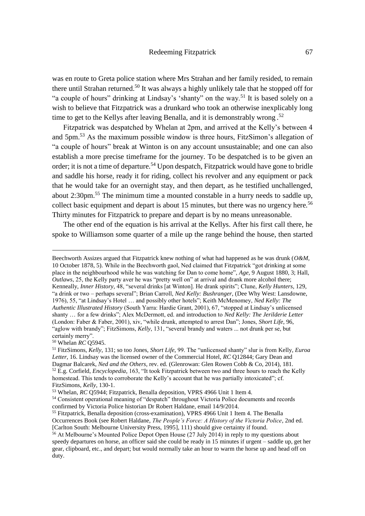was en route to Greta police station where Mrs Strahan and her family resided, to remain there until Strahan returned.<sup>50</sup> It was always a highly unlikely tale that he stopped off for "a couple of hours" drinking at Lindsay's 'shanty" on the way.<sup>51</sup> It is based solely on a wish to believe that Fitzpatrick was a drunkard who took an otherwise inexplicably long time to get to the Kellys after leaving Benalla, and it is demonstrably wrong.<sup>52</sup>

Fitzpatrick was despatched by Whelan at 2pm, and arrived at the Kelly's between 4 and 5pm.<sup>53</sup> As the maximum possible window is three hours, FitzSimon's allegation of "a couple of hours" break at Winton is on any account unsustainable; and one can also establish a more precise timeframe for the journey. To be despatched is to be given an order; it is not a time of departure.<sup>54</sup> Upon despatch, Fitzpatrick would have gone to bridle and saddle his horse, ready it for riding, collect his revolver and any equipment or pack that he would take for an overnight stay, and then depart, as he testified unchallenged, about 2:30pm.<sup>55</sup> The minimum time a mounted constable in a hurry needs to saddle up, collect basic equipment and depart is about 15 minutes, but there was no urgency here.<sup>56</sup> Thirty minutes for Fitzpatrick to prepare and depart is by no means unreasonable.

The other end of the equation is his arrival at the Kellys. After his first call there, he spoke to Williamson some quarter of a mile up the range behind the house, then started

Beechworth Assizes argued that Fitzpatrick knew nothing of what had happened as he was drunk (*O&M,* 10 October 1878, 5). While in the Beechworth gaol, Ned claimed that Fitzpatrick "got drinking at some place in the neighbourhood while he was watching for Dan to come home", *Age,* 9 August 1880, 3; Hall, *Outlaws*, 25, the Kelly party aver he was "pretty well on" at arrival and drank more alcohol there; Kenneally, *Inner History,* 48, "several drinks [at Winton]. He drank spirits"; Clune, *Kelly Hunters*, 129, "a drink or two – perhaps several"; Brian Carroll, *Ned Kelly: Bushranger*, (Dee Why West: Lansdowne, 1976), 55, "at Lindsay's Hotel … and possibly other hotels"; Keith McMenomey, *Ned Kelly: The Authentic Illustrated History* (South Yarra: Hardie Grant, 2001), 67, "stopped at Lindsay's unlicensed shanty … for a few drinks"; Alex McDermott, ed. and introduction to *Ned Kelly: The Jerilderie Letter* (London: Faber & Faber, 2001), xiv, "while drunk, attempted to arrest Dan"; Jones, *Short Life*, 96, "aglow with brandy"; FitzSimons, *Kelly*, 131, "several brandy and waters ... not drunk per se, but certainly merry".

<sup>50</sup> Whelan *RC* Q5945.

<sup>51</sup> FitzSimons, *Kelly*, 131; so too Jones, *Short Life*, 99. The "unlicensed shanty" slur is from Kelly, *Euroa Letter*, 16. Lindsay was the licensed owner of the Commercial Hotel, *RC* Q12844; Gary Dean and Dagmar Balcarek, *Ned and the Others,* rev. ed. (Glenrowan: Glen Rowen Cobb & Co, 2014), 181. <sup>52</sup> E.g. Corfield, *Encyclopedia*, 163, "It took Fitzpatrick between two and three hours to reach the Kelly homestead. This tends to corroborate the Kelly's account that he was partially intoxicated"; cf. FitzSimons, *Kelly*, 130-1.

<sup>53</sup> Whelan, *RC* Q5944; Fitzpatrick, Benalla deposition, VPRS 4966 Unit 1 Item 4.

<sup>54</sup> Consistent operational meaning of "despatch" throughout Victoria Police documents and records confirmed by Victoria Police historian Dr Robert Haldane, email 14/9/2014.

<sup>55</sup> Fitzpatrick, Benalla deposition (cross-examination), VPRS 4966 Unit 1 Item 4. The Benalla Occurrences Book (see Robert Haldane, *The People's Force: A History of the Victoria Police,* 2nd ed. [Carlton South: Melbourne University Press, 1995], 111) should give certainty if found.

 $56$  At Melbourne's Mounted Police Depot Open House (27 July 2014) in reply to my questions about speedy departures on horse, an officer said she could be ready in 15 minutes if urgent – saddle up, get her gear, clipboard, etc., and depart; but would normally take an hour to warm the horse up and head off on duty.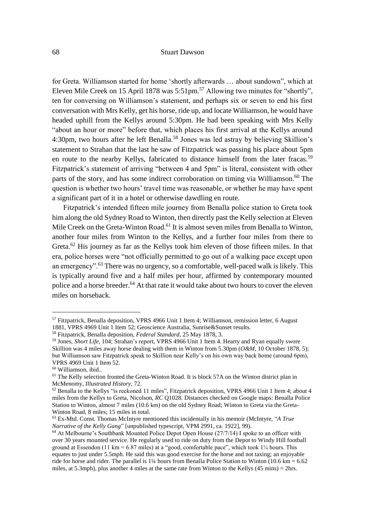for Greta. Williamson started for home 'shortly afterwards … about sundown", which at Eleven Mile Creek on 15 April 1878 was 5:51pm.<sup>57</sup> Allowing two minutes for "shortly". ten for conversing on Williamson's statement, and perhaps six or seven to end his first conversation with Mrs Kelly, get his horse, ride up, and locate Williamson, he would have headed uphill from the Kellys around 5:30pm. He had been speaking with Mrs Kelly "about an hour or more" before that, which places his first arrival at the Kellys around 4:30pm, two hours after he left Benalla.<sup>58</sup> Jones was led astray by believing Skillion's statement to Strahan that the last he saw of Fitzpatrick was passing his place about 5pm en route to the nearby Kellys, fabricated to distance himself from the later fracas.<sup>59</sup> Fitzpatrick's statement of arriving "between 4 and 5pm" is literal, consistent with other parts of the story, and has some indirect corroboration on timing via Williamson.<sup>60</sup> The question is whether two hours' travel time was reasonable, or whether he may have spent a significant part of it in a hotel or otherwise dawdling en route.

Fitzpatrick's intended fifteen mile journey from Benalla police station to Greta took him along the old Sydney Road to Winton, then directly past the Kelly selection at Eleven Mile Creek on the Greta-Winton Road.<sup>61</sup> It is almost seven miles from Benalla to Winton, another four miles from Winton to the Kellys, and a further four miles from there to Greta.<sup>62</sup> His journey as far as the Kellys took him eleven of those fifteen miles. In that era, police horses were "not officially permitted to go out of a walking pace except upon an emergency".<sup>63</sup> There was no urgency, so a comfortable, well-paced walk is likely. This is typically around five and a half miles per hour, affirmed by contemporary mounted police and a horse breeder.<sup>64</sup> At that rate it would take about two hours to cover the eleven miles on horseback.

<sup>57</sup> Fitzpatrick, Benalla deposition, VPRS 4966 Unit 1 Item 4; Williamson, remission letter, 6 August 1881, VPRS 4969 Unit 1 Item 52; Geoscience Australia, Sunrise&Sunset results.

<sup>58</sup> Fitzpatrick, Benalla deposition, *Federal Standard,* 25 May 1878, 3.

<sup>59</sup> Jones, *Short Life*, 104; Strahan's report, VPRS 4966 Unit 1 Item 4. Hearty and Ryan equally swore Skillion was 4 miles away horse dealing with them in Winton from 5.30pm (*O&M,* 10 October 1878, 5); but Williamson saw Fitzpatrick speak to Skillion near Kelly's on his own way back home (around 6pm), VPRS 4969 Unit 1 Item 52.

<sup>60</sup> Williamson, ibid..

 $<sup>61</sup>$  The Kelly selection fronted the Greta-Winton Road. It is block 57A on the Winton district plan in</sup> McMenomy, *Illustrated History*, 72.

 $62$  Benalla to the Kellys "is reckoned 11 miles", Fitzpatrick deposition, VPRS 4966 Unit 1 Item 4; about 4 miles from the Kellys to Greta, Nicolson, *RC* Q1028. Distances checked on Google maps: Benalla Police Station to Winton, almost 7 miles (10.6 km) on the old Sydney Road; Winton to Greta via the Greta-Winton Road, 8 miles; 15 miles in total.

<sup>63</sup> Ex-Mtd. Const. Thomas McIntyre mentioned this incidentally in his memoir (McIntyre, "*A True Narrative of the Kelly Gang*" [unpublished typescript, VPM 2991, ca. 1922], 99).

<sup>&</sup>lt;sup>64</sup> At Melbourne's Southbank Mounted Police Depot Open House (27/7/14) I spoke to an officer with over 30 years mounted service. He regularly used to ride on duty from the Depot to Windy Hill football ground at Essendon (11 km = 6.87 miles) at a "good, comfortable pace", which took  $1/4$  hours. This equates to just under 5.5mph. He said this was good exercise for the horse and not taxing; an enjoyable ride for horse and rider. The parallel is 1¼ hours from Benalla Police Station to Winton (10.6 km = 6.62 miles, at 5.3mph), plus another 4 miles at the same rate from Winton to the Kellys (45 mins) = 2hrs.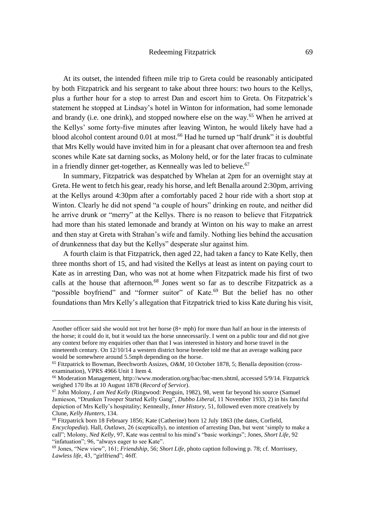At its outset, the intended fifteen mile trip to Greta could be reasonably anticipated by both Fitzpatrick and his sergeant to take about three hours: two hours to the Kellys, plus a further hour for a stop to arrest Dan and escort him to Greta. On Fitzpatrick's statement he stopped at Lindsay's hotel in Winton for information, had some lemonade and brandy (i.e. one drink), and stopped nowhere else on the way.<sup>65</sup> When he arrived at the Kellys' some forty-five minutes after leaving Winton, he would likely have had a blood alcohol content around 0.01 at most.<sup>66</sup> Had he turned up "half drunk" it is doubtful that Mrs Kelly would have invited him in for a pleasant chat over afternoon tea and fresh scones while Kate sat darning socks, as Molony held, or for the later fracas to culminate in a friendly dinner get-together, as Kenneally was led to believe.<sup>67</sup>

In summary, Fitzpatrick was despatched by Whelan at 2pm for an overnight stay at Greta. He went to fetch his gear, ready his horse, and left Benalla around 2:30pm, arriving at the Kellys around 4:30pm after a comfortably paced 2 hour ride with a short stop at Winton. Clearly he did not spend "a couple of hours" drinking en route, and neither did he arrive drunk or "merry" at the Kellys. There is no reason to believe that Fitzpatrick had more than his stated lemonade and brandy at Winton on his way to make an arrest and then stay at Greta with Strahan's wife and family. Nothing lies behind the accusation of drunkenness that day but the Kellys" desperate slur against him.

A fourth claim is that Fitzpatrick, then aged 22, had taken a fancy to Kate Kelly, then three months short of 15, and had visited the Kellys at least as intent on paying court to Kate as in arresting Dan, who was not at home when Fitzpatrick made his first of two calls at the house that afternoon.<sup>68</sup> Jones went so far as to describe Fitzpatrick as a "possible boyfriend" and "former suitor" of Kate.<sup>69</sup> But the belief has no other foundations than Mrs Kelly's allegation that Fitzpatrick tried to kiss Kate during his visit,

Another officer said she would not trot her horse (8+ mph) for more than half an hour in the interests of the horse; it could do it, but it would tax the horse unnecessarily. I went on a public tour and did not give any context before my enquiries other than that I was interested in history and horse travel in the nineteenth century. On 12/10/14 a western district horse breeder told me that an average walking pace would be somewhere around 5.5mph depending on the horse.

<sup>65</sup> Fitzpatrick to Bowman, Beechworth Assizes, *O&M,* 10 October 1878, 5; Benalla deposition (crossexamination), VPRS 4966 Unit 1 Item 4.

<sup>66</sup> Moderation Management, http://www.moderation.org/bac/bac-men.shtml, accessed 5/9/14. Fitzpatrick weighed 170 lbs at 10 August 1878 (*Record of Service*).

<sup>67</sup> John Molony, *I am Ned Kelly* (Ringwood: Penguin, 1982), 98, went far beyond his source (Samuel Jamieson, "Drunken Trooper Started Kelly Gang", *Dubbo Liberal*, 11 November 1933, 2) in his fanciful depiction of Mrs Kelly's hospitality; Kenneally, *Inner History,* 51, followed even more creatively by Clune, *Kelly Hunters*, 134.

<sup>68</sup> Fitzpatrick born 18 February 1856; Kate (Catherine) born 12 July 1863 (the dates, Corfield, *Encyclopedia*). Hall, *Outlaws*, 26 (sceptically), no intention of arresting Dan, but went 'simply to make a call"; Molony, *Ned Kelly*, 97, Kate was central to his mind's "basic workings"; Jones, *Short Life*, 92 "infatuation"; 96, "always eager to see Kate".

<sup>69</sup> Jones, "New view", 161; *Friendship*, 56; *Short Life*, photo caption following p. 78; cf. Morrissey, *Lawless life*, 43, "girlfriend"; 46ff.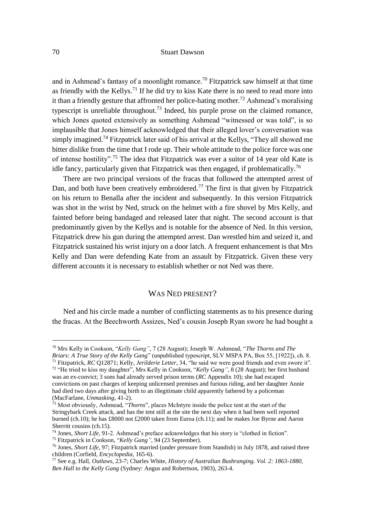and in Ashmead's fantasy of a moonlight romance.<sup>70</sup> Fitzpatrick saw himself at that time as friendly with the Kellys.<sup>71</sup> If he did try to kiss Kate there is no need to read more into it than a friendly gesture that affronted her police-hating mother.<sup>72</sup> Ashmead's moralising typescript is unreliable throughout.<sup>73</sup> Indeed, his purple prose on the claimed romance, which Jones quoted extensively as something Ashmead "witnessed or was told", is so implausible that Jones himself acknowledged that their alleged lover's conversation was simply imagined.<sup>74</sup> Fitzpatrick later said of his arrival at the Kellys, "They all showed me bitter dislike from the time that I rode up. Their whole attitude to the police force was one of intense hostility".<sup>75</sup> The idea that Fitzpatrick was ever a suitor of 14 year old Kate is idle fancy, particularly given that Fitzpatrick was then engaged, if problematically.<sup>76</sup>

There are two principal versions of the fracas that followed the attempted arrest of Dan, and both have been creatively embroidered.<sup>77</sup> The first is that given by Fitzpatrick on his return to Benalla after the incident and subsequently. In this version Fitzpatrick was shot in the wrist by Ned, struck on the helmet with a fire shovel by Mrs Kelly, and fainted before being bandaged and released later that night. The second account is that predominantly given by the Kellys and is notable for the absence of Ned. In this version, Fitzpatrick drew his gun during the attempted arrest. Dan wrestled him and seized it, and Fitzpatrick sustained his wrist injury on a door latch. A frequent enhancement is that Mrs Kelly and Dan were defending Kate from an assault by Fitzpatrick. Given these very different accounts it is necessary to establish whether or not Ned was there.

# WAS NED PRESENT?

Ned and his circle made a number of conflicting statements as to his presence during the fracas. At the Beechworth Assizes, Ned's cousin Joseph Ryan swore he had bought a

<sup>70</sup> Mrs Kelly in Cookson, "*Kelly Gang"*, 7 (28 August); Joseph W. Ashmead, "*The Thorns and The Briars: A True Story of the Kelly Gang*" (unpublished typescript, SLV MSPA PA, Box 55, [1922]), ch. 8. <sup>71</sup> Fitzpatrick, *RC* Q12871; Kelly, *Jerilderie Letter*, 34, "he said we were good friends and even swore it".

<sup>72</sup> "He tried to kiss my daughter", Mrs Kelly in Cookson, "*Kelly Gang"*, 8 (28 August); her first husband was an ex-convict; 3 sons had already served prison terms (*RC* Appendix 10); she had escaped convictions on past charges of keeping unlicensed premises and furious riding, and her daughter Annie had died two days after giving birth to an illegitimate child apparently fathered by a policeman (MacFarlane, *Unmasking*, 41-2).

<sup>73</sup> Most obviously, Ashmead, "*Thorns*", places McIntyre inside the police tent at the start of the Stringybark Creek attack, and has the tent still at the site the next day when it had been well reported burned (ch.10); he has £8000 not £2000 taken from Euroa (ch.11); and he makes Joe Byrne and Aaron Sherritt cousins (ch.15).

<sup>74</sup> Jones, *Short Life*, 91-2. Ashmead's preface acknowledges that his story is "clothed in fiction".

<sup>75</sup> Fitzpatrick in Cookson, "*Kelly Gang"*, 94 (23 September).

<sup>76</sup> Jones, *Short Life*, 97; Fitzpatrick married (under pressure from Standish) in July 1878, and raised three children (Corfield, *Encyclopedia*, 165-6).

<sup>77</sup> See e.g. Hall, *Outlaws*, 23-7; Charles White, *History of Australian Bushranging. Vol. 2: 1863-1880, Ben Hall to the Kelly Gang* (Sydney: Angus and Robertson, 1903), 263-4.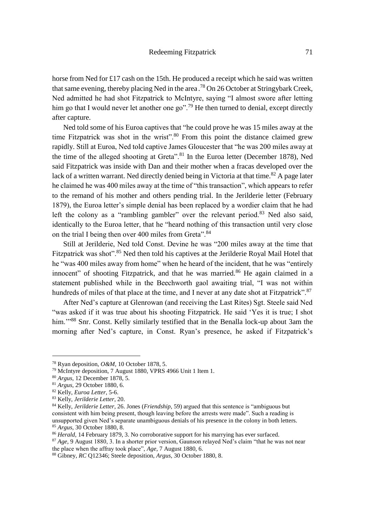# Redeeming Fitzpatrick 71

horse from Ned for £17 cash on the 15th. He produced a receipt which he said was written that same evening, thereby placing Ned in the area.<sup>78</sup> On 26 October at Stringybark Creek, Ned admitted he had shot Fitzpatrick to McIntyre, saying "I almost swore after letting him go that I would never let another one go".<sup>79</sup> He then turned to denial, except directly after capture.

Ned told some of his Euroa captives that "he could prove he was 15 miles away at the time Fitzpatrick was shot in the wrist".<sup>80</sup> From this point the distance claimed grew rapidly. Still at Euroa, Ned told captive James Gloucester that "he was 200 miles away at the time of the alleged shooting at Greta".<sup>81</sup> In the Euroa letter (December 1878), Ned said Fitzpatrick was inside with Dan and their mother when a fracas developed over the lack of a written warrant. Ned directly denied being in Victoria at that time.<sup>82</sup> A page later he claimed he was 400 miles away at the time of "this transaction", which appears to refer to the remand of his mother and others pending trial. In the Jerilderie letter (February 1879), the Euroa letter's simple denial has been replaced by a wordier claim that he had left the colony as a "rambling gambler" over the relevant period.<sup>83</sup> Ned also said, identically to the Euroa letter, that he "heard nothing of this transaction until very close on the trial I being then over 400 miles from Greta".<sup>84</sup>

Still at Jerilderie, Ned told Const. Devine he was "200 miles away at the time that Fitzpatrick was shot".<sup>85</sup> Ned then told his captives at the Jerilderie Royal Mail Hotel that he "was 400 miles away from home" when he heard of the incident, that he was "entirely innocent" of shooting Fitzpatrick, and that he was married. $86$  He again claimed in a statement published while in the Beechworth gaol awaiting trial, "I was not within hundreds of miles of that place at the time, and I never at any date shot at Fitzpatrick".<sup>87</sup>

After Ned's capture at Glenrowan (and receiving the Last Rites) Sgt. Steele said Ned "was asked if it was true about his shooting Fitzpatrick. He said 'Yes it is true; I shot him."<sup>88</sup> Snr. Const. Kelly similarly testified that in the Benalla lock-up about 3am the morning after Ned's capture, in Const. Ryan's presence, he asked if Fitzpatrick's

<sup>78</sup> Ryan deposition, *O&M,* 10 October 1878, 5.

<sup>79</sup> McIntyre deposition, 7 August 1880, VPRS 4966 Unit 1 Item 1.

<sup>80</sup> *Argus,* 12 December 1878, 5.

<sup>81</sup> *Argus,* 29 October 1880, 6.

<sup>82</sup> Kelly, *Euroa Letter*, 5-6.

<sup>83</sup> Kelly, *Jerilderie Letter*, 20.

<sup>84</sup> Kelly, *Jerilderie Letter*, 26. Jones (*Friendship*, 59) argued that this sentence is "ambiguous but consistent with him being present, though leaving before the arrests were made". Such a reading is unsupported given Ned's separate unambiguous denials of his presence in the colony in both letters. <sup>85</sup> *Argus,* 30 October 1880, 8.

<sup>&</sup>lt;sup>86</sup> *Herald*, 14 February 1879, 3. No corroborative support for his marrying has ever surfaced.

<sup>87</sup> *Age*, 9 August 1880, 3. In a shorter prior version, Gaunson relayed Ned's claim "that he was not near the place when the affray took place", *Age*, 7 August 1880, 6.

<sup>88</sup> Gibney, *RC* Q12346; Steele deposition, *Argus,* 30 October 1880, 8.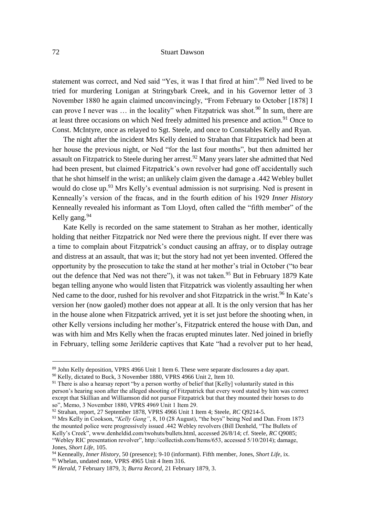statement was correct, and Ned said "Yes, it was I that fired at him".<sup>89</sup> Ned lived to be tried for murdering Lonigan at Stringybark Creek, and in his Governor letter of 3 November 1880 he again claimed unconvincingly, "From February to October [1878] I can prove I never was  $\ldots$  in the locality" when Fitzpatrick was shot.<sup>90</sup> In sum, there are at least three occasions on which Ned freely admitted his presence and action.<sup>91</sup> Once to Const. McIntyre, once as relayed to Sgt. Steele, and once to Constables Kelly and Ryan.

The night after the incident Mrs Kelly denied to Strahan that Fitzpatrick had been at her house the previous night, or Ned "for the last four months", but then admitted her assault on Fitzpatrick to Steele during her arrest.<sup>92</sup> Many years later she admitted that Ned had been present, but claimed Fitzpatrick's own revolver had gone off accidentally such that he shot himself in the wrist; an unlikely claim given the damage a .442 Webley bullet would do close up.<sup>93</sup> Mrs Kelly's eventual admission is not surprising. Ned is present in Kenneally's version of the fracas, and in the fourth edition of his 1929 *Inner History* Kenneally revealed his informant as Tom Lloyd, often called the "fifth member" of the Kelly gang.<sup>94</sup>

Kate Kelly is recorded on the same statement to Strahan as her mother, identically holding that neither Fitzpatrick nor Ned were there the previous night. If ever there was a time to complain about Fitzpatrick's conduct causing an affray, or to display outrage and distress at an assault, that was it; but the story had not yet been invented. Offered the opportunity by the prosecution to take the stand at her mother's trial in October ("to bear out the defence that Ned was not there"), it was not taken.<sup>95</sup> But in February 1879 Kate began telling anyone who would listen that Fitzpatrick was violently assaulting her when Ned came to the door, rushed for his revolver and shot Fitzpatrick in the wrist.<sup>96</sup> In Kate's version her (now gaoled) mother does not appear at all. It is the only version that has her in the house alone when Fitzpatrick arrived, yet it is set just before the shooting when, in other Kelly versions including her mother's, Fitzpatrick entered the house with Dan, and was with him and Mrs Kelly when the fracas erupted minutes later. Ned joined in briefly in February, telling some Jerilderie captives that Kate "had a revolver put to her head,

<sup>89</sup> John Kelly deposition, VPRS 4966 Unit 1 Item 6. These were separate disclosures a day apart. <sup>90</sup> Kelly, dictated to Buck, 3 November 1880, VPRS 4966 Unit 2, Item 10.

<sup>&</sup>lt;sup>91</sup> There is also a hearsay report "by a person worthy of belief that [Kelly] voluntarily stated in this person's hearing soon after the alleged shooting of Fitzpatrick that every word stated by him was correct except that Skillian and Williamson did not pursue Fitzpatrick but that they mounted their horses to do so", Memo, 3 November 1880, VPRS 4969 Unit 1 Item 29.

<sup>92</sup> Strahan, report, 27 September 1878, VPRS 4966 Unit 1 Item 4; Steele, *RC* Q9214-5.

<sup>&</sup>lt;sup>93</sup> Mrs Kelly in Cookson, "*Kelly Gang*", 8, 10 (28 August), "the boys" being Ned and Dan. From 1873 the mounted police were progressively issued .442 Webley revolvers (Bill Denheld, "The Bullets of Kelly's Creek", www.denheldid.com/twohuts/bullets.html, accessed 26/8/14; cf. Steele, *RC* Q9085; "Webley RIC presentation revolver", http://collectish.com/Items/653, accessed 5/10/2014); damage, Jones, *Short Life*, 105.

<sup>94</sup> Kenneally, *Inner History,* 50 (presence); 9-10 (informant). Fifth member, Jones, *Short Life*, ix.

<sup>&</sup>lt;sup>95</sup> Whelan, undated note, VPRS 4965 Unit 4 Item 316.

<sup>96</sup> *Herald*, 7 February 1879, 3; *Burra Record*, 21 February 1879, 3.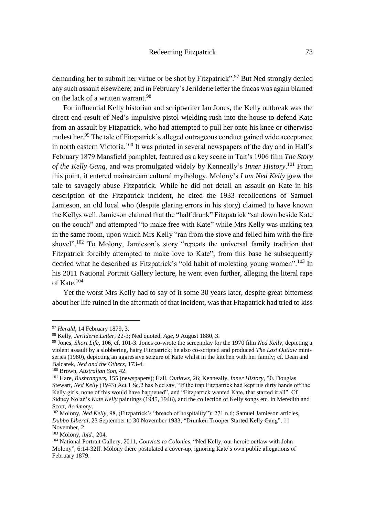demanding her to submit her virtue or be shot by Fitzpatrick".<sup>97</sup> But Ned strongly denied any such assault elsewhere; and in February's Jerilderie letter the fracas was again blamed on the lack of a written warrant.<sup>98</sup>

For influential Kelly historian and scriptwriter Ian Jones, the Kelly outbreak was the direct end-result of Ned's impulsive pistol-wielding rush into the house to defend Kate from an assault by Fitzpatrick, who had attempted to pull her onto his knee or otherwise molest her.<sup>99</sup> The tale of Fitzpatrick's alleged outrageous conduct gained wide acceptance in north eastern Victoria.<sup>100</sup> It was printed in several newspapers of the day and in Hall's February 1879 Mansfield pamphlet, featured as a key scene in Tait's 1906 film *The Story of the Kelly Gang*, and was promulgated widely by Kenneally's *Inner History*. <sup>101</sup> From this point, it entered mainstream cultural mythology. Molony's *I am Ned Kelly* grew the tale to savagely abuse Fitzpatrick. While he did not detail an assault on Kate in his description of the Fitzpatrick incident, he cited the 1933 recollections of Samuel Jamieson, an old local who (despite glaring errors in his story) claimed to have known the Kellys well. Jamieson claimed that the "half drunk" Fitzpatrick "sat down beside Kate on the couch" and attempted "to make free with Kate" while Mrs Kelly was making tea in the same room, upon which Mrs Kelly "ran from the stove and felled him with the fire shovel".<sup>102</sup> To Molony, Jamieson's story "repeats the universal family tradition that Fitzpatrick forcibly attempted to make love to Kate"; from this base he subsequently decried what he described as Fitzpatrick's "old habit of molesting young women".<sup>103</sup> In his 2011 National Portrait Gallery lecture, he went even further, alleging the literal rape of Kate.<sup>104</sup>

Yet the worst Mrs Kelly had to say of it some 30 years later, despite great bitterness about her life ruined in the aftermath of that incident, was that Fitzpatrick had tried to kiss

<sup>97</sup> *Herald,* 14 February 1879, 3.

<sup>98</sup> Kelly, *Jerilderie Letter*, 22-3; Ned quoted, *Age,* 9 August 1880, 3.

<sup>99</sup> Jones, *Short Life*, 106, cf. 101-3. Jones co-wrote the screenplay for the 1970 film *Ned Kelly*, depicting a violent assault by a slobbering, hairy Fitzpatrick; he also co-scripted and produced *The Last Outlaw* miniseries (1980), depicting an aggressive seizure of Kate whilst in the kitchen with her family; cf. Dean and Balcarek, *Ned and the Others*, 173-4.

<sup>100</sup> Brown, *Australian Son,* 42.

<sup>101</sup> Hare, *Bushrangers*, 155 (newspapers); Hall, *Outlaws*, 26; Kenneally, *Inner History,* 50. Douglas Stewart, *Ned Kelly* (1943) Act 1 Sc.2 has Ned say, "If the trap Fitzpatrick had kept his dirty hands off the Kelly girls, none of this would have happened", and "Fitzpatrick wanted Kate, that started it all". Cf. Sidney Nolan's *Kate Kelly* paintings (1945, 1946), and the collection of Kelly songs etc. in Meredith and Scott, *Acrimony*.

<sup>102</sup> Molony, *Ned Kelly*, 98, (Fitzpatrick's "breach of hospitality"); 271 n.6; Samuel Jamieson articles, *Dubbo Liberal*, 23 September to 30 November 1933, "Drunken Trooper Started Kelly Gang", 11 November, 2.

<sup>103</sup> Molony, *ibid.*, 204.

<sup>104</sup> National Portrait Gallery, 2011, *Convicts to Colonies*, "Ned Kelly, our heroic outlaw with John Molony", 6:14-32ff. Molony there postulated a cover-up, ignoring Kate's own public allegations of February 1879.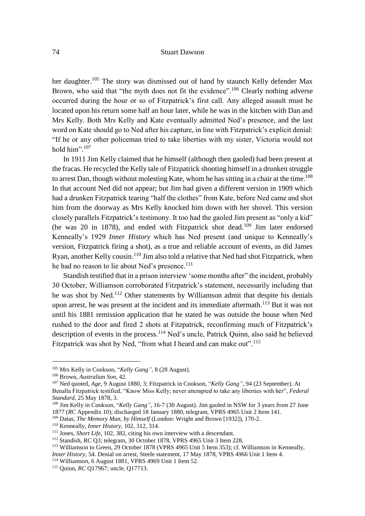her daughter.<sup>105</sup> The story was dismissed out of hand by staunch Kelly defender Max Brown, who said that "the myth does not fit the evidence".<sup>106</sup> Clearly nothing adverse occurred during the hour or so of Fitzpatrick's first call. Any alleged assault must be located upon his return some half an hour later, while he was in the kitchen with Dan and Mrs Kelly. Both Mrs Kelly and Kate eventually admitted Ned's presence, and the last word on Kate should go to Ned after his capture, in line with Fitzpatrick's explicit denial: "If he or any other policeman tried to take liberties with my sister, Victoria would not hold him".<sup>107</sup>

In 1911 Jim Kelly claimed that he himself (although then gaoled) had been present at the fracas. He recycled the Kelly tale of Fitzpatrick shooting himself in a drunken struggle to arrest Dan, though without molesting Kate, whom he has sitting in a chair at the time.<sup>108</sup> In that account Ned did not appear; but Jim had given a different version in 1909 which had a drunken Fitzpatrick tearing "half the clothes" from Kate, before Ned came and shot him from the doorway as Mrs Kelly knocked him down with her shovel. This version closely parallels Fitzpatrick's testimony. It too had the gaoled Jim present as "only a kid" (he was 20 in 1878), and ended with Fitzpatrick shot dead.<sup>109</sup> Jim later endorsed Kenneally's 1929 *Inner History* which has Ned present (and unique to Kenneally's version, Fitzpatrick firing a shot), as a true and reliable account of events, as did James Ryan, another Kelly cousin.<sup>110</sup> Jim also told a relative that Ned had shot Fitzpatrick, when he had no reason to lie about Ned's presence.<sup>111</sup>

Standish testified that in a prison interview 'some months after" the incident, probably 30 October, Williamson corroborated Fitzpatrick's statement, necessarily including that he was shot by Ned.<sup>112</sup> Other statements by Williamson admit that despite his denials upon arrest, he was present at the incident and its immediate aftermath.<sup>113</sup> But it was not until his 1881 remission application that he stated he was outside the house when Ned rushed to the door and fired 2 shots at Fitzpatrick, reconfirming much of Fitzpatrick's description of events in the process.<sup>114</sup> Ned's uncle, Patrick Quinn, also said he believed Fitzpatrick was shot by Ned, "from what I heard and can make out".<sup>115</sup>

<sup>105</sup> Mrs Kelly in Cookson, "*Kelly Gang"*, 8 (28 August).

<sup>106</sup> Brown, *Australian Son*, 42.

<sup>107</sup> Ned quoted, *Age,* 9 August 1880, 3; Fitzpatrick in Cookson, "*Kelly Gang"*, 94 (23 September). At Benalla Fitzpatrick testified, "Know Miss Kelly; never attempted to take any liberties with her", *Federal Standard,* 25 May 1878, 3.

<sup>108</sup> Jim Kelly in Cookson, "*Kelly Gang"*, 16-7 (30 August). Jim gaoled in NSW for 3 years from 27 June 1877 (*RC* Appendix 10); discharged 18 January 1880, telegram, VPRS 4965 Unit 2 Item 141.

<sup>109</sup> Datas, *The Memory Man, by Himself* (London: Wright and Brown [1932]), 170-2.

<sup>110</sup> Kenneally, *Inner History,* 102, 312, 314.

<sup>111</sup> Jones, *Short Life*, 102, 382, citing his own interview with a descendant.

<sup>112</sup> Standish, RC Q3; telegram, 30 October 1878, VPRS 4965 Unit 3 Item 228.

<sup>&</sup>lt;sup>113</sup> Williamson to Green, 29 October 1878 (VPRS 4965 Unit 5 Item 353); cf. Williamson in Kenneally, *Inner History,* 54. Denial on arrest, Steele statement, 17 May 1878, VPRS 4966 Unit 1 Item 4. <sup>114</sup> Williamson, 6 August 1881, VPRS 4969 Unit 1 Item 52.

<sup>115</sup> Quinn, *RC* Q17967; uncle, Q17713.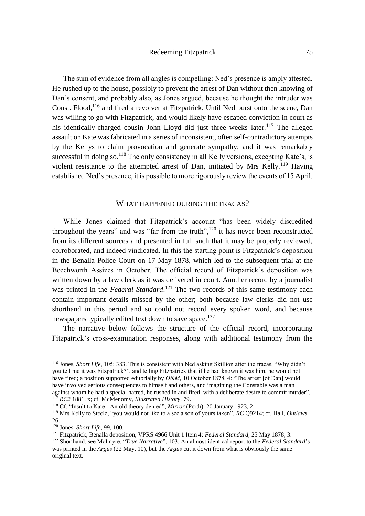The sum of evidence from all angles is compelling: Ned's presence is amply attested. He rushed up to the house, possibly to prevent the arrest of Dan without then knowing of Dan's consent, and probably also, as Jones argued, because he thought the intruder was Const. Flood,<sup>116</sup> and fired a revolver at Fitzpatrick. Until Ned burst onto the scene, Dan was willing to go with Fitzpatrick, and would likely have escaped conviction in court as his identically-charged cousin John Lloyd did just three weeks later.<sup>117</sup> The alleged assault on Kate was fabricated in a series of inconsistent, often self-contradictory attempts by the Kellys to claim provocation and generate sympathy; and it was remarkably successful in doing so.<sup>118</sup> The only consistency in all Kelly versions, excepting Kate's, is violent resistance to the attempted arrest of Dan, initiated by Mrs Kelly.<sup>119</sup> Having established Ned's presence, it is possible to more rigorously review the events of 15 April.

# WHAT HAPPENED DURING THE FRACAS?

While Jones claimed that Fitzpatrick's account "has been widely discredited throughout the years" and was "far from the truth", $120$  it has never been reconstructed from its different sources and presented in full such that it may be properly reviewed, corroborated, and indeed vindicated. In this the starting point is Fitzpatrick's deposition in the Benalla Police Court on 17 May 1878, which led to the subsequent trial at the Beechworth Assizes in October. The official record of Fitzpatrick's deposition was written down by a law clerk as it was delivered in court. Another record by a journalist was printed in the *Federal Standard*.<sup>121</sup> The two records of this same testimony each contain important details missed by the other; both because law clerks did not use shorthand in this period and so could not record every spoken word, and because newspapers typically edited text down to save space.<sup>122</sup>

The narrative below follows the structure of the official record, incorporating Fitzpatrick's cross-examination responses, along with additional testimony from the

<sup>116</sup> Jones, *Short Life*, 105; 383. This is consistent with Ned asking Skillion after the fracas, "Why didn't you tell me it was Fitzpatrick?", and telling Fitzpatrick that if he had known it was him, he would not have fired; a position supported editorially by *O&M*, 10 October 1878, 4: "The arrest [of Dan] would have involved serious consequences to himself and others, and imagining the Constable was a man against whom he had a special hatred, he rushed in and fired, with a deliberate desire to commit murder". <sup>117</sup> *RC2* 1881, x; cf. McMenomy, *Illustrated History*, 79.

<sup>118</sup> Cf. "Insult to Kate - An old theory denied", *Mirror* (Perth), 20 January 1923, 2.

<sup>119</sup> Mrs Kelly to Steele, "you would not like to a see a son of yours taken", *RC* Q9214; cf. Hall, *Outlaws*, 26.

<sup>120</sup> Jones, *Short Life*, 99, 100.

<sup>121</sup> Fitzpatrick, Benalla deposition, VPRS 4966 Unit 1 Item 4; *Federal Standard,* 25 May 1878, 3.

<sup>122</sup> Shorthand, see McIntyre, "*True Narrative*", 103. An almost identical report to the *Federal Standard*'s was printed in the *Argus* (22 May, 10), but the *Argus* cut it down from what is obviously the same original text.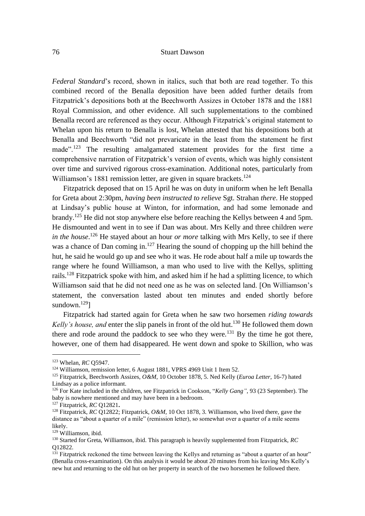*Federal Standard*'s record, shown in italics, such that both are read together. To this combined record of the Benalla deposition have been added further details from Fitzpatrick's depositions both at the Beechworth Assizes in October 1878 and the 1881 Royal Commission, and other evidence. All such supplementations to the combined Benalla record are referenced as they occur. Although Fitzpatrick's original statement to Whelan upon his return to Benalla is lost, Whelan attested that his depositions both at Benalla and Beechworth "did not prevaricate in the least from the statement he first made"<sup>123</sup> The resulting amalgamated statement provides for the first time a comprehensive narration of Fitzpatrick's version of events, which was highly consistent over time and survived rigorous cross-examination. Additional notes, particularly from Williamson's 1881 remission letter, are given in square brackets.<sup>124</sup>

Fitzpatrick deposed that on 15 April he was on duty in uniform when he left Benalla for Greta about 2:30pm, *having been instructed to relieve* Sgt. Strahan *there*. He stopped at Lindsay's public house at Winton, for information, and had some lemonade and brandy.<sup>125</sup> He did not stop anywhere else before reaching the Kellys between 4 and 5pm. He dismounted and went in to see if Dan was about. Mrs Kelly and three children *were*  in the house.<sup>126</sup> He stayed about an hour *or more* talking with Mrs Kelly, to see if there was a chance of Dan coming in.<sup>127</sup> Hearing the sound of chopping up the hill behind the hut, he said he would go up and see who it was. He rode about half a mile up towards the range where he found Williamson, a man who used to live with the Kellys, splitting rails.<sup>128</sup> Fitzpatrick spoke with him, and asked him if he had a splitting licence, to which Williamson said that he did not need one as he was on selected land. [On Williamson's statement, the conversation lasted about ten minutes and ended shortly before sundown. $129$ ]

Fitzpatrick had started again for Greta when he saw two horsemen *riding towards Kelly's house, and* enter the slip panels in front of the old hut.<sup>130</sup> He followed them down there and rode around the paddock to see who they were.<sup>131</sup> By the time he got there, however, one of them had disappeared. He went down and spoke to Skillion, who was

<sup>123</sup> Whelan, *RC* Q5947.

<sup>124</sup> Williamson, remission letter, 6 August 1881, VPRS 4969 Unit 1 Item 52.

<sup>125</sup> Fitzpatrick, Beechworth Assizes, *O&M,* 10 October 1878, 5. Ned Kelly (*Euroa Letter*, 16-7) hated Lindsay as a police informant.

<sup>126</sup> For Kate included in the children, see Fitzpatrick in Cookson, "*Kelly Gang"*, 93 (23 September). The baby is nowhere mentioned and may have been in a bedroom.

<sup>127</sup> Fitzpatrick, *RC* Q12821**.**

<sup>128</sup> Fitzpatrick, *RC* Q12822; Fitzpatrick, *O&M,* 10 Oct 1878, 3. Williamson, who lived there, gave the distance as "about a quarter of a mile" (remission letter), so somewhat over a quarter of a mile seems likely.

<sup>129</sup> Williamson, ibid.

<sup>130</sup> Started for Greta, Williamson, ibid. This paragraph is heavily supplemented from Fitzpatrick, *RC* Q12822.

 $131$  Fitzpatrick reckoned the time between leaving the Kellys and returning as "about a quarter of an hour" (Benalla cross-examination). On this analysis it would be about 20 minutes from his leaving Mrs Kelly's new hut and returning to the old hut on her property in search of the two horsemen he followed there.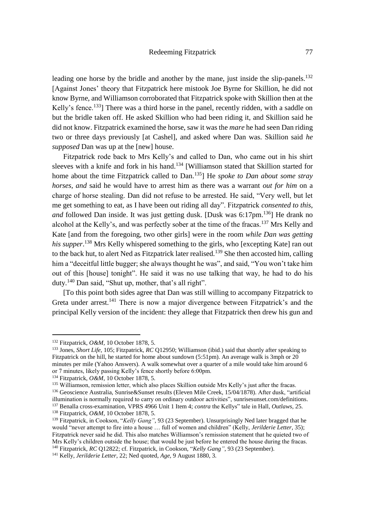leading one horse by the bridle and another by the mane, just inside the slip-panels.<sup>132</sup> [Against Jones' theory that Fitzpatrick here mistook Joe Byrne for Skillion, he did not know Byrne, and Williamson corroborated that Fitzpatrick spoke with Skillion then at the Kelly's fence.<sup>133</sup>] There was a third horse in the panel, recently ridden, with a saddle on but the bridle taken off. He asked Skillion who had been riding it, and Skillion said he did not know. Fitzpatrick examined the horse, saw it was the *mare* he had seen Dan riding two or three days previously [at Cashel], and asked where Dan was. Skillion said *he supposed* Dan was up at the [new] house.

Fitzpatrick rode back to Mrs Kelly's and called to Dan, who came out in his shirt sleeves with a knife and fork in his hand.<sup>134</sup> [Williamson stated that Skillion started for home about the time Fitzpatrick called to Dan.<sup>135</sup>] He *spoke to Dan about some stray horses, and* said he would have to arrest him as there was a warrant *out for him* on a charge of horse stealing. Dan did not refuse to be arrested. He said, "Very well, but let me get something to eat, as I have been out riding all day". Fitzpatrick *consented to this*, *and* followed Dan inside. It was just getting dusk. [Dusk was 6:17pm.<sup>136</sup>] He drank no alcohol at the Kelly's, and was perfectly sober at the time of the fracas.<sup>137</sup> Mrs Kelly and Kate [and from the foregoing, two other girls] were in the room *while Dan was getting his supper*. <sup>138</sup> Mrs Kelly whispered something to the girls, who [excepting Kate] ran out to the back hut, to alert Ned as Fitzpatrick later realised.<sup>139</sup> She then accosted him, calling him a "deceitful little bugger; she always thought he was", and said, "You won't take him out of this [house] tonight". He said it was no use talking that way, he had to do his duty.<sup>140</sup> Dan said, "Shut up, mother, that's all right".

[To this point both sides agree that Dan was still willing to accompany Fitzpatrick to Greta under arrest.<sup>141</sup> There is now a major divergence between Fitzpatrick's and the principal Kelly version of the incident: they allege that Fitzpatrick then drew his gun and

<sup>132</sup> Fitzpatrick, *O&M,* 10 October 1878, 5.

<sup>133</sup> Jones, *Short Life*, 105; Fitzpatrick, *RC* Q12950; Williamson (ibid.) said that shortly after speaking to Fitzpatrick on the hill, he started for home about sundown (5:51pm). An average walk is 3mph or 20 minutes per mile (Yahoo Answers). A walk somewhat over a quarter of a mile would take him around 6 or 7 minutes, likely passing Kelly's fence shortly before 6:00pm.

<sup>134</sup> Fitzpatrick, *O&M,* 10 October 1878, 5.

<sup>&</sup>lt;sup>135</sup> Williamson, remission letter, which also places Skillion outside Mrs Kelly's just after the fracas.

<sup>136</sup> Geoscience Australia, Sunrise&Sunset results (Eleven Mile Creek, 15/04/1878). After dusk, "artificial illumination is normally required to carry on ordinary outdoor activities", sunrisesunset.com/definitions. <sup>137</sup> Benalla cross-examination, VPRS 4966 Unit 1 Item 4; *contra* the Kellys" tale in Hall, *Outlaws*, 25.

<sup>138</sup> Fitzpatrick, *O&M,* 10 October 1878, 5.

<sup>139</sup> Fitzpatrick, in Cookson, "*Kelly Gang"*, 93 (23 September). Unsurprisingly Ned later bragged that he would "never attempt to fire into a house … full of women and children" (Kelly, *Jerilderie Letter*, 35); Fitzpatrick never said he did. This also matches Williamson's remission statement that he quieted two of Mrs Kelly's children outside the house; that would be just before he entered the house during the fracas. <sup>140</sup> Fitzpatrick, *RC* Q12822; cf. Fitzpatrick, in Cookson, "*Kelly Gang"*, 93 (23 September).

<sup>141</sup> Kelly, *Jerilderie Letter*, 22; Ned quoted, *Age*, 9 August 1880, 3.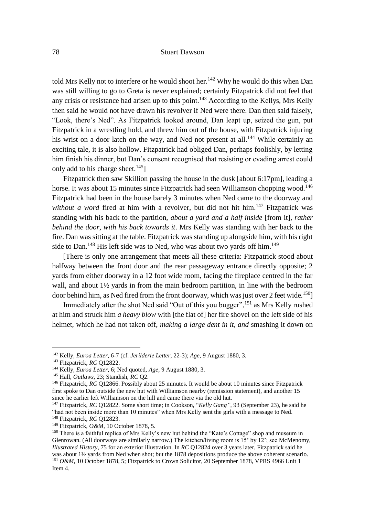told Mrs Kelly not to interfere or he would shoot her.<sup>142</sup> Why he would do this when Dan was still willing to go to Greta is never explained; certainly Fitzpatrick did not feel that any crisis or resistance had arisen up to this point.<sup>143</sup> According to the Kellys, Mrs Kelly then said he would not have drawn his revolver if Ned were there. Dan then said falsely, "Look, there's Ned". As Fitzpatrick looked around, Dan leapt up, seized the gun, put Fitzpatrick in a wrestling hold, and threw him out of the house, with Fitzpatrick injuring his wrist on a door latch on the way, and Ned not present at all.<sup>144</sup> While certainly an exciting tale, it is also hollow. Fitzpatrick had obliged Dan, perhaps foolishly, by letting him finish his dinner, but Dan's consent recognised that resisting or evading arrest could only add to his charge sheet.<sup>145</sup>]

Fitzpatrick then saw Skillion passing the house in the dusk [about 6:17pm], leading a horse. It was about 15 minutes since Fitzpatrick had seen Williamson chopping wood.<sup>146</sup> Fitzpatrick had been in the house barely 3 minutes when Ned came to the doorway and *without a word* fired at him with a revolver, but did not hit him.<sup>147</sup> Fitzpatrick was standing with his back to the partition, *about a yard and a half inside* [from it], *rather behind the door, with his back towards it*. Mrs Kelly was standing with her back to the fire. Dan was sitting at the table. Fitzpatrick was standing up alongside him, with his right side to Dan.<sup>148</sup> His left side was to Ned, who was about two yards off him.<sup>149</sup>

[There is only one arrangement that meets all these criteria: Fitzpatrick stood about halfway between the front door and the rear passageway entrance directly opposite; 2 yards from either doorway in a 12 foot wide room, facing the fireplace centred in the far wall, and about 1½ yards in from the main bedroom partition, in line with the bedroom door behind him, as Ned fired from the front doorway, which was just over 2 feet wide.<sup>150</sup>]

Immediately after the shot Ned said "Out of this you bugger", <sup>151</sup> as Mrs Kelly rushed at him and struck him *a heavy blow* with [the flat of] her fire shovel on the left side of his helmet, which he had not taken off, *making a large dent in it, and* smashing it down on

<sup>142</sup> Kelly, *Euroa Letter*, 6-7 (cf. *Jerilderie Letter*, 22-3); *Age,* 9 August 1880, 3.

<sup>143</sup> Fitzpatrick, *RC* Q12822.

<sup>144</sup> Kelly, *Euroa Letter*, 6; Ned quoted, *Age,* 9 August 1880, 3.

<sup>145</sup> Hall, *Outlaws*, 23; Standish, *RC* Q2.

<sup>146</sup> Fitzpatrick, *RC* Q12866. Possibly about 25 minutes. It would be about 10 minutes since Fitzpatrick first spoke to Dan outside the new hut with Williamson nearby (remission statement), and another 15 since he earlier left Williamson on the hill and came there via the old hut.

<sup>147</sup> Fitzpatrick, *RC* Q12822. Some short time; in Cookson, "*Kelly Gang"*, 93 (September 23), he said he "had not been inside more than 10 minutes" when Mrs Kelly sent the girls with a message to Ned. <sup>148</sup> Fitzpatrick, *RC* Q12823.

<sup>149</sup> Fitzpatrick, *O&M,* 10 October 1878, 5.

<sup>&</sup>lt;sup>150</sup> There is a faithful replica of Mrs Kelly's new hut behind the "Kate's Cottage" shop and museum in Glenrowan. (All doorways are similarly narrow.) The kitchen/living room is 15' by 12'; see McMenomy, *Illustrated History*, 75 for an exterior illustration. In *RC* Q12824 over 3 years later, Fitzpatrick said he was about 1½ yards from Ned when shot; but the 1878 depositions produce the above coherent scenario. <sup>151</sup> *O&M,* 10 October 1878, 5; Fitzpatrick to Crown Solicitor, 20 September 1878, VPRS 4966 Unit 1 Item 4.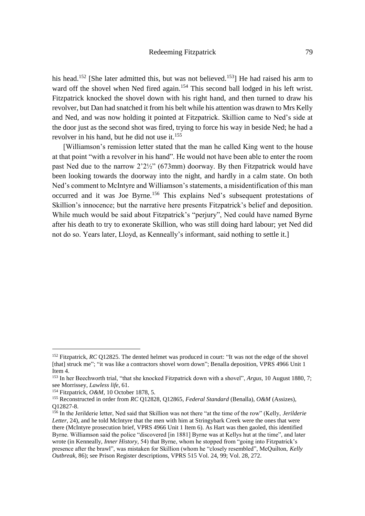his head.<sup>152</sup> [She later admitted this, but was not believed.<sup>153</sup>] He had raised his arm to ward off the shovel when Ned fired again.<sup>154</sup> This second ball lodged in his left wrist. Fitzpatrick knocked the shovel down with his right hand, and then turned to draw his revolver, but Dan had snatched it from his belt while his attention was drawn to Mrs Kelly and Ned, and was now holding it pointed at Fitzpatrick. Skillion came to Ned's side at the door just as the second shot was fired, trying to force his way in beside Ned; he had a revolver in his hand, but he did not use it.<sup>155</sup>

[Williamson's remission letter stated that the man he called King went to the house at that point "with a revolver in his hand". He would not have been able to enter the room past Ned due to the narrow 2'2½" (673mm) doorway. By then Fitzpatrick would have been looking towards the doorway into the night, and hardly in a calm state. On both Ned's comment to McIntyre and Williamson's statements, a misidentification of this man occurred and it was Joe Byrne.<sup>156</sup> This explains Ned's subsequent protestations of Skillion's innocence; but the narrative here presents Fitzpatrick's belief and deposition. While much would be said about Fitzpatrick's "perjury", Ned could have named Byrne after his death to try to exonerate Skillion, who was still doing hard labour; yet Ned did not do so. Years later, Lloyd, as Kenneally's informant, said nothing to settle it.]

<sup>&</sup>lt;sup>152</sup> Fitzpatrick, *RC* Q12825. The dented helmet was produced in court: "It was not the edge of the shovel [that] struck me"; "it was like a contractors shovel worn down"; Benalla deposition, VPRS 4966 Unit 1 Item 4.

<sup>153</sup> In her Beechworth trial, "that she knocked Fitzpatrick down with a shovel", *Argus,* 10 August 1880, 7; see Morrissey, *Lawless life*, 61.

<sup>154</sup> Fitzpatrick, *O&M,* 10 October 1878, 5.

<sup>155</sup> Reconstructed in order from *RC* Q12828, Q12865, *Federal Standard* (Benalla), *O&M* (Assizes), Q12827-8.

<sup>156</sup> In the Jerilderie letter, Ned said that Skillion was not there "at the time of the row" (Kelly, *Jerilderie Letter*, 24), and he told McIntyre that the men with him at Stringybark Creek were the ones that were there (McIntyre prosecution brief, VPRS 4966 Unit 1 Item 6). As Hart was then gaoled, this identified Byrne. Williamson said the police "discovered [in 1881] Byrne was at Kellys hut at the time", and later wrote (in Kenneally, *Inner History,* 54) that Byrne, whom he stopped from "going into Fitzpatrick's presence after the brawl", was mistaken for Skillion (whom he "closely resembled", McQuilton, *Kelly Outbreak,* 86); see Prison Register descriptions, VPRS 515 Vol. 24, 99; Vol. 28, 272.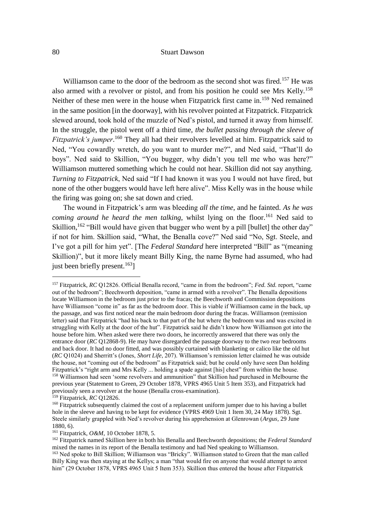Williamson came to the door of the bedroom as the second shot was fired.<sup>157</sup> He was also armed with a revolver or pistol, and from his position he could see Mrs Kelly.<sup>158</sup> Neither of these men were in the house when Fitzpatrick first came in.<sup>159</sup> Ned remained in the same position [in the doorway], with his revolver pointed at Fitzpatrick. Fitzpatrick slewed around, took hold of the muzzle of Ned's pistol, and turned it away from himself. In the struggle, the pistol went off a third time, *the bullet passing through the sleeve of Fitzpatrick's jumper*. <sup>160</sup> They all had their revolvers levelled at him. Fitzpatrick said to Ned, "You cowardly wretch, do you want to murder me?", and Ned said, "That'll do boys". Ned said to Skillion, "You bugger, why didn't you tell me who was here?" Williamson muttered something which he could not hear. Skillion did not say anything. *Turning to Fitzpatrick*, Ned said "If I had known it was you I would not have fired, but none of the other buggers would have left here alive". Miss Kelly was in the house while the firing was going on; she sat down and cried.

The wound in Fitzpatrick's arm was bleeding *all the time*, and he fainted. *As he was coming around he heard the men talking*, whilst lying on the floor.<sup>161</sup> Ned said to Skillion,<sup>162</sup> "Bill would have given that bugger who went by a pill [bullet] the other day" if not for him. Skillion said, "What, the Benalla cove?" Ned said "No, Sgt. Steele, and I've got a pill for him yet". [The *Federal Standard* here interpreted "Bill" as "(meaning Skillion)", but it more likely meant Billy King, the name Byrne had assumed, who had just been briefly present.<sup>163</sup>]

<sup>157</sup> Fitzpatrick, *RC* Q12826. Official Benalla record, "came in from the bedroom"; *Fed. Std.* report, "came out of the bedroom"; Beechworth deposition, "came in armed with a revolver". The Benalla depositions locate Williamson in the bedroom just prior to the fracas; the Beechworth and Commission depositions have Williamson "come in" as far as the bedroom door. This is viable if Williamson came in the back, up the passage, and was first noticed near the main bedroom door during the fracas. Williamson (remission letter) said that Fitzpatrick "had his back to that part of the hut where the bedroom was and was excited in struggling with Kelly at the door of the hut". Fitzpatrick said he didn't know how Williamson got into the house before him. When asked were there two doors, he incorrectly answered that there was only the entrance door (*RC* Q12868-9). He may have disregarded the passage doorway to the two rear bedrooms and back door. It had no door fitted, and was possibly curtained with blanketing or calico like the old hut (*RC* Q1024) and Sherritt's (Jones, *Short Life*, 207). Williamson's remission letter claimed he was outside the house, not "coming out of the bedroom" as Fitzpatrick said; but he could only have seen Dan holding Fitzpatrick's "right arm and Mrs Kelly ... holding a spade against [his] chest" from within the house. <sup>158</sup> Williamson had seen 'some revolvers and ammunition" that Skillion had purchased in Melbourne the previous year (Statement to Green, 29 October 1878, VPRS 4965 Unit 5 Item 353), and Fitzpatrick had previously seen a revolver at the house (Benalla cross-examination).

<sup>159</sup> Fitzpatrick, *RC* Q12826.

<sup>&</sup>lt;sup>160</sup> Fitzpatrick subsequently claimed the cost of a replacement uniform jumper due to his having a bullet hole in the sleeve and having to be kept for evidence (VPRS 4969 Unit 1 Item 30, 24 May 1878). Sgt. Steele similarly grappled with Ned's revolver during his apprehension at Glenrowan (*Argus,* 29 June 1880, 6).

<sup>161</sup> Fitzpatrick, *O&M,* 10 October 1878, 5.

<sup>162</sup> Fitzpatrick named Skillion here in both his Benalla and Beechworth depositions; the *Federal Standard* mixed the names in its report of the Benalla testimony and had Ned speaking to Williamson.

<sup>&</sup>lt;sup>163</sup> Ned spoke to Bill Skillion; Williamson was "Bricky". Williamson stated to Green that the man called Billy King was then staying at the Kellys; a man "that would fire on anyone that would attempt to arrest him" (29 October 1878, VPRS 4965 Unit 5 Item 353). Skillion thus entered the house after Fitzpatrick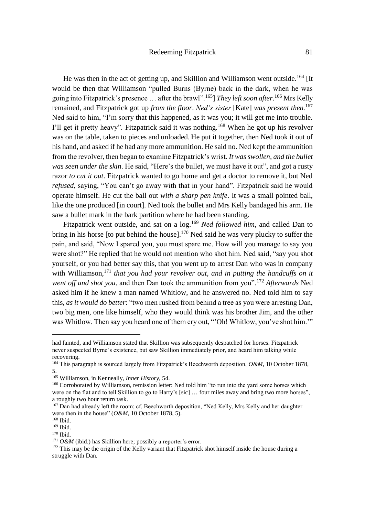He was then in the act of getting up, and Skillion and Williamson went outside.<sup>164</sup> [It] would be then that Williamson "pulled Burns (Byrne) back in the dark, when he was going into Fitzpatrick's presence … after the brawl".<sup>165</sup>] *They left soon after*. <sup>166</sup> Mrs Kelly remained, and Fitzpatrick got up *from the floor*. *Ned's sister* [Kate] *was present then.*<sup>167</sup> Ned said to him, "I'm sorry that this happened, as it was you; it will get me into trouble. I'll get it pretty heavy". Fitzpatrick said it was nothing.<sup>168</sup> When he got up his revolver was on the table, taken to pieces and unloaded. He put it together, then Ned took it out of his hand, and asked if he had any more ammunition. He said no. Ned kept the ammunition from the revolver, then began to examine Fitzpatrick's wrist. *It was swollen, and the bullet was seen under the skin*. He said, "Here's the bullet, we must have it out", and got a rusty razor *to cut it out*. Fitzpatrick wanted to go home and get a doctor to remove it, but Ned *refused*, saying, "You can't go away with that in your hand". Fitzpatrick said he would operate himself. He cut the ball out *with a sharp pen knife*. It was a small pointed ball, like the one produced [in court]. Ned took the bullet and Mrs Kelly bandaged his arm. He saw a bullet mark in the bark partition where he had been standing.

Fitzpatrick went outside, and sat on a log.<sup>169</sup> *Ned followed him*, and called Dan to bring in his horse [to put behind the house].<sup>170</sup> Ned said he was very plucky to suffer the pain, and said, "Now I spared you, you must spare me. How will you manage to say you were shot?" He replied that he would not mention who shot him. Ned said, "say you shot yourself, or you had better say this, that you went up to arrest Dan who was in company with Williamson,<sup>171</sup> *that you had your revolver out, and in putting the handcuffs on it went off and shot you*, and then Dan took the ammunition from you".<sup>172</sup> *Afterwards* Ned asked him if he knew a man named Whitlow, and he answered no. Ned told him to say this, *as it would do better*: "two men rushed from behind a tree as you were arresting Dan, two big men, one like himself, who they would think was his brother Jim, and the other was Whitlow. Then say you heard one of them cry out, "'Oh! Whitlow, you've shot him.'"

had fainted, and Williamson stated that Skillion was subsequently despatched for horses. Fitzpatrick never suspected Byrne's existence, but saw Skillion immediately prior, and heard him talking while recovering.

<sup>164</sup> This paragraph is sourced largely from Fitzpatrick's Beechworth deposition, *O&M,* 10 October 1878, 5.

<sup>165</sup> Williamson, in Kenneally, *Inner History,* 54.

<sup>&</sup>lt;sup>166</sup> Corroborated by Williamson, remission letter: Ned told him "to run into the yard some horses which were on the flat and to tell Skillion to go to Harty's [sic] ... four miles away and bring two more horses", a roughly two hour return task.

<sup>&</sup>lt;sup>167</sup> Dan had already left the room; cf. Beechworth deposition, "Ned Kelly, Mrs Kelly and her daughter were then in the house"  $(O\&M, 10$  October 1878, 5).

<sup>168</sup> Ibid.

<sup>169</sup> Ibid.

<sup>170</sup> Ibid.

<sup>&</sup>lt;sup>171</sup> *O&M* (ibid.) has Skillion here; possibly a reporter's error.

<sup>&</sup>lt;sup>172</sup> This may be the origin of the Kelly variant that Fitzpatrick shot himself inside the house during a struggle with Dan.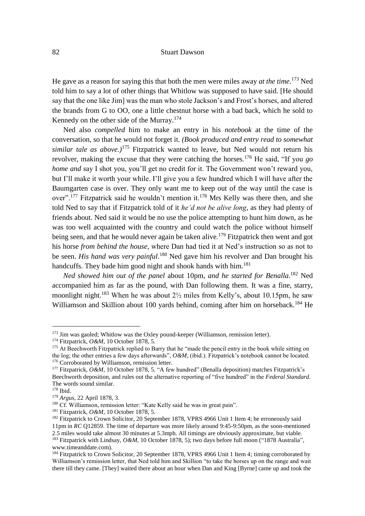He gave as a reason for saying this that both the men were miles away *at the time*. <sup>173</sup> Ned told him to say a lot of other things that Whitlow was supposed to have said. [He should say that the one like Jim] was the man who stole Jackson's and Frost's horses, and altered the brands from G to OO, one a little chestnut horse with a bad back, which he sold to Kennedy on the other side of the Murray.<sup>174</sup>

Ned also *compelled* him to make an entry in his *notebook* at the time of the conversation, so that he would not forget it. *(Book produced and entry read to somewhat similar tale as above.)*<sup>175</sup> Fitzpatrick wanted to leave, but Ned would not return his revolver, making the excuse that they were catching the horses.<sup>176</sup> He said, "If you *go home and* say I shot you, you'll get no credit for it. The Government won't reward you, but I'll make it worth your while. I'll give you a few hundred which I will have after the Baumgarten case is over. They only want me to keep out of the way until the case is over".<sup>177</sup> Fitzpatrick said he wouldn't mention it.<sup>178</sup> Mrs Kelly was there then, and she told Ned to say that if Fitzpatrick told of it *he'd not be alive long*, as they had plenty of friends about. Ned said it would be no use the police attempting to hunt him down, as he was too well acquainted with the country and could watch the police without himself being seen, and that he would never again be taken alive.<sup>179</sup> Fitzpatrick then went and got his horse *from behind the house*, where Dan had tied it at Ned's instruction so as not to be seen. *His hand was very painful*. <sup>180</sup> Ned gave him his revolver and Dan brought his handcuffs. They bade him good night and shook hands with him.<sup>181</sup>

*Ned showed him out of the panel* about 10pm, *and he started for Benalla*. <sup>182</sup> Ned accompanied him as far as the pound, with Dan following them. It was a fine, starry, moonlight night.<sup>183</sup> When he was about  $2\frac{1}{2}$  miles from Kelly's, about 10.15pm, he saw Williamson and Skillion about 100 yards behind, coming after him on horseback.<sup>184</sup> He

 $173$  Jim was gaoled; Whitlow was the Oxley pound-keeper (Williamson, remission letter).

<sup>174</sup> Fitzpatrick, *O&M,* 10 October 1878, 5.

<sup>&</sup>lt;sup>175</sup> At Beechworth Fitzpatrick replied to Barry that he "made the pencil entry in the book while sitting on the log; the other entries a few days afterwards", *O&M,* (ibid.). Fitzpatrick's notebook cannot be located. <sup>176</sup> Corroborated by Williamson, remission letter.

<sup>177</sup> Fitzpatrick, *O&M,* 10 October 1878, 5. "A few hundred" (Benalla deposition) matches Fitzpatrick's Beechworth deposition, and rules out the alternative reporting of "five hundred" in the *Federal Standard*. The words sound similar.

<sup>178</sup> Ibid.

<sup>179</sup> *Argus*, 22 April 1878, 3.

<sup>180</sup> Cf. Williamson, remission letter: "Kate Kelly said he was in great pain".

<sup>181</sup> Fitzpatrick, *O&M,* 10 October 1878, 5.

<sup>&</sup>lt;sup>182</sup> Fitzpatrick to Crown Solicitor, 20 September 1878, VPRS 4966 Unit 1 Item 4; he erroneously said 11pm in *RC* Q12859. The time of departure was more likely around 9:45-9:50pm, as the soon-mentioned 2.5 miles would take almost 30 minutes at 5.3mph. All timings are obviously approximate, but viable.

<sup>183</sup> Fitzpatrick with Lindsay, *O&M,* 10 October 1878, 5); two days before full moon ("1878 Australia", www.timeanddate.com).

<sup>&</sup>lt;sup>184</sup> Fitzpatrick to Crown Solicitor, 20 September 1878, VPRS 4966 Unit 1 Item 4; timing corroborated by Williamson's remission letter, that Ned told him and Skillion "to take the horses up on the range and wait there till they came. [They] waited there about an hour when Dan and King [Byrne] came up and took the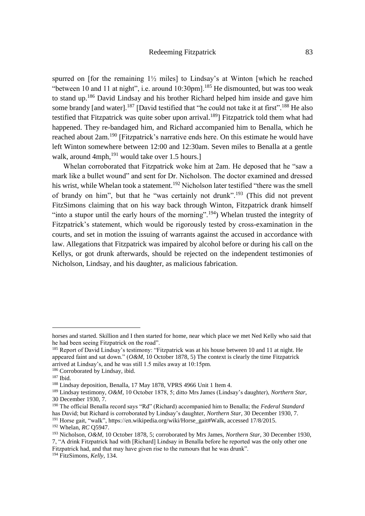spurred on [for the remaining  $1\frac{1}{2}$  miles] to Lindsay's at Winton [which he reached "between 10 and 11 at night", i.e. around  $10:30$ pm].<sup>185</sup> He dismounted, but was too weak to stand up.<sup>186</sup> David Lindsay and his brother Richard helped him inside and gave him some brandy [and water].<sup>187</sup> [David testified that "he could not take it at first".<sup>188</sup> He also testified that Fitzpatrick was quite sober upon arrival.<sup>189</sup>] Fitzpatrick told them what had happened. They re-bandaged him, and Richard accompanied him to Benalla, which he reached about 2am.<sup>190</sup> [Fitzpatrick's narrative ends here. On this estimate he would have left Winton somewhere between 12:00 and 12:30am. Seven miles to Benalla at a gentle walk, around  $4mph,$ <sup>191</sup> would take over 1.5 hours.]

Whelan corroborated that Fitzpatrick woke him at 2am. He deposed that he "saw a mark like a bullet wound" and sent for Dr. Nicholson. The doctor examined and dressed his wrist, while Whelan took a statement.<sup>192</sup> Nicholson later testified "there was the smell of brandy on him", but that he "was certainly not drunk".<sup>193</sup> (This did not prevent FitzSimons claiming that on his way back through Winton, Fitzpatrick drank himself "into a stupor until the early hours of the morning".<sup>194</sup>) Whelan trusted the integrity of Fitzpatrick's statement, which would be rigorously tested by cross-examination in the courts, and set in motion the issuing of warrants against the accused in accordance with law. Allegations that Fitzpatrick was impaired by alcohol before or during his call on the Kellys, or got drunk afterwards, should be rejected on the independent testimonies of Nicholson, Lindsay, and his daughter, as malicious fabrication.

horses and started. Skillion and I then started for home, near which place we met Ned Kelly who said that he had been seeing Fitzpatrick on the road".

<sup>&</sup>lt;sup>185</sup> Report of David Lindsay's testimony: "Fitzpatrick was at his house between 10 and 11 at night. He appeared faint and sat down." (*O&M,* 10 October 1878, 5) The context is clearly the time Fitzpatrick arrived at Lindsay's, and he was still 1.5 miles away at 10:15pm.

<sup>&</sup>lt;sup>186</sup> Corroborated by Lindsay, ibid.

<sup>187</sup> Ibid.

<sup>&</sup>lt;sup>188</sup> Lindsay deposition, Benalla, 17 May 1878, VPRS 4966 Unit 1 Item 4.

<sup>189</sup> Lindsay testimony, *O&M,* 10 October 1878, 5; ditto Mrs James (Lindsay's daughter), *Northern Star*, 30 December 1930, 7.

<sup>190</sup> The official Benalla record says "Rd" (Richard) accompanied him to Benalla; the *Federal Standard* has David; but Richard is corroborated by Lindsay's daughter, *Northern Star*, 30 December 1930, 7.

<sup>191</sup> Horse gait, "walk", https://en.wikipedia.org/wiki/Horse\_gait#Walk, accessed 17/8/2015.

<sup>192</sup> Whelan, *RC* Q5947.

<sup>193</sup> Nicholson, *O&M,* 10 October 1878, 5; corroborated by Mrs James, *Northern Star*, 30 December 1930, 7, "A drink Fitzpatrick had with [Richard] Lindsay in Benalla before he reported was the only other one Fitzpatrick had, and that may have given rise to the rumours that he was drunk".

<sup>194</sup> FitzSimons, *Kelly*, 134.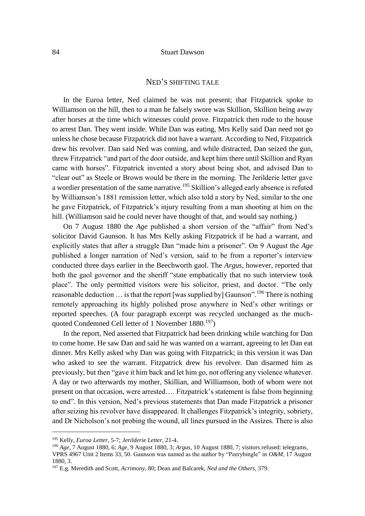# NED'S SHIFTING TALE

In the Euroa letter, Ned claimed he was not present; that Fitzpatrick spoke to Williamson on the hill, then to a man he falsely swore was Skillion, Skillion being away after horses at the time which witnesses could prove. Fitzpatrick then rode to the house to arrest Dan. They went inside. While Dan was eating, Mrs Kelly said Dan need not go unless he chose because Fitzpatrick did not have a warrant. According to Ned, Fitzpatrick drew his revolver. Dan said Ned was coming, and while distracted, Dan seized the gun, threw Fitzpatrick "and part of the door outside, and kept him there until Skillion and Ryan came with horses". Fitzpatrick invented a story about being shot, and advised Dan to "clear out" as Steele or Brown would be there in the morning. The Jerilderie letter gave a wordier presentation of the same narrative.<sup>195</sup> Skillion's alleged early absence is refuted by Williamson's 1881 remission letter, which also told a story by Ned, similar to the one he gave Fitzpatrick, of Fitzpatrick's injury resulting from a man shooting at him on the hill. (Williamson said he could never have thought of that, and would say nothing.)

On 7 August 1880 the *Age* published a short version of the "affair" from Ned's solicitor David Gaunson. It has Mrs Kelly asking Fitzpatrick if he had a warrant, and explicitly states that after a struggle Dan "made him a prisoner". On 9 August the *Age* published a longer narration of Ned's version, said to be from a reporter's interview conducted three days earlier in the Beechworth gaol. The *Argus*, however, reported that both the gaol governor and the sheriff "state emphatically that no such interview took place". The only permitted visitors were his solicitor, priest, and doctor. "The only reasonable deduction … is that the report [was supplied by] Gaunson".<sup>196</sup> There is nothing remotely approaching its highly polished prose anywhere in Ned's other writings or reported speeches. (A four paragraph excerpt was recycled unchanged as the muchquoted Condemned Cell letter of 1 November 1880.<sup>197</sup>)

In the report, Ned asserted that Fitzpatrick had been drinking while watching for Dan to come home. He saw Dan and said he was wanted on a warrant, agreeing to let Dan eat dinner. Mrs Kelly asked why Dan was going with Fitzpatrick; in this version it was Dan who asked to see the warrant. Fitzpatrick drew his revolver. Dan disarmed him as previously, but then "gave it him back and let him go, not offering any violence whatever. A day or two afterwards my mother, Skillian, and Williamson, both of whom were not present on that occasion, were arrested…. Fitzpatrick's statement is false from beginning to end". In this version, Ned's previous statements that Dan made Fitzpatrick a prisoner after seizing his revolver have disappeared. It challenges Fitzpatrick's integrity, sobriety, and Dr Nicholson's not probing the wound, all lines pursued in the Assizes. There is also

<sup>195</sup> Kelly, *Euroa Letter*, 5-7; *Jerilderie Letter*, 21-4.

<sup>196</sup> *Age,* 7 August 1880, 6; *Age,* 9 August 1880, 3; *Argus,* 10 August 1880, 7; visitors refused: telegrams, VPRS 4967 Unit 2 Items 33, 50. Gaunson was named as the author by "Peerybingle" in *O&M,* 17 August 1880, 3.

<sup>197</sup> E.g. Meredith and Scott, *Acrimony*, 80; Dean and Balcarek, *Ned and the Others*, 379.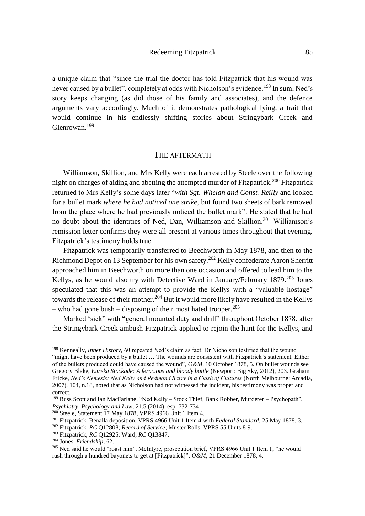a unique claim that "since the trial the doctor has told Fitzpatrick that his wound was never caused by a bullet", completely at odds with Nicholson's evidence.<sup>198</sup> In sum, Ned's story keeps changing (as did those of his family and associates), and the defence arguments vary accordingly. Much of it demonstrates pathological lying, a trait that would continue in his endlessly shifting stories about Stringybark Creek and Glenrowan.<sup>199</sup>

#### THE AFTERMATH

Williamson, Skillion, and Mrs Kelly were each arrested by Steele over the following night on charges of aiding and abetting the attempted murder of Fitzpatrick.<sup>200</sup> Fitzpatrick returned to Mrs Kelly's some days later "*with Sgt. Whelan and Const. Reilly* and looked for a bullet mark *where he had noticed one strike*, but found two sheets of bark removed from the place where he had previously noticed the bullet mark". He stated that he had no doubt about the identities of Ned, Dan, Williamson and Skillion.<sup>201</sup> Williamson's remission letter confirms they were all present at various times throughout that evening. Fitzpatrick's testimony holds true.

Fitzpatrick was temporarily transferred to Beechworth in May 1878, and then to the Richmond Depot on 13 September for his own safety.<sup>202</sup> Kelly confederate Aaron Sherritt approached him in Beechworth on more than one occasion and offered to lead him to the Kellys, as he would also try with Detective Ward in January/February 1879.<sup>203</sup> Jones speculated that this was an attempt to provide the Kellys with a "valuable hostage" towards the release of their mother.<sup>204</sup> But it would more likely have resulted in the Kellys – who had gone bush – disposing of their most hated trooper.<sup>205</sup>

Marked 'sick" with "general mounted duty and drill" throughout October 1878, after the Stringybark Creek ambush Fitzpatrick applied to rejoin the hunt for the Kellys, and

<sup>198</sup> Kenneally, *Inner History,* 60 repeated Ned's claim as fact. Dr Nicholson testified that the wound "might have been produced by a bullet … The wounds are consistent with Fitzpatrick's statement. Either of the bullets produced could have caused the wound", *O&M,* 10 October 1878, 5. On bullet wounds see Gregory Blake, *Eureka Stockade: A ferocious and bloody battle* (Newport: Big Sky, 2012), 203. Graham Fricke, *Ned's Nemesis: Ned Kelly and Redmond Barry in a Clash of Cultures* (North Melbourne: Arcadia, 2007), 104, n.18, noted that as Nicholson had not witnessed the incident, his testimony was proper and correct.

<sup>199</sup> Russ Scott and Ian MacFarlane, "Ned Kelly – Stock Thief, Bank Robber, Murderer – Psychopath", *Psychiatry, Psychology and Law*, 21.5 (2014), esp. 732-734.

<sup>&</sup>lt;sup>200</sup> Steele, Statement 17 May 1878, VPRS 4966 Unit 1 Item 4.

<sup>201</sup> Fitzpatrick, Benalla deposition, VPRS 4966 Unit 1 Item 4 with *Federal Standard,* 25 May 1878, 3.

<sup>202</sup> Fitzpatrick, *RC* Q12808; *Record of Service*; Muster Rolls, VPRS 55 Units 8-9.

<sup>203</sup> Fitzpatrick, *RC* Q12925; Ward, *RC* Q13847.

<sup>204</sup> Jones, *Friendship*, 62.

<sup>205</sup> Ned said he would "roast him", McIntyre, prosecution brief, VPRS 4966 Unit 1 Item 1; "he would rush through a hundred bayonets to get at [Fitzpatrick]", *O&M,* 21 December 1878, 4.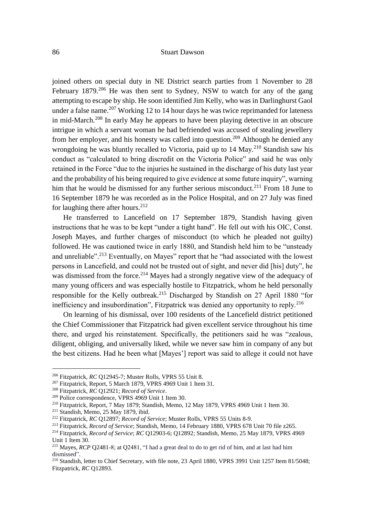joined others on special duty in NE District search parties from 1 November to 28 February  $1879$ <sup>206</sup> He was then sent to Sydney, NSW to watch for any of the gang attempting to escape by ship. He soon identified Jim Kelly, who was in Darlinghurst Gaol under a false name.<sup>207</sup> Working 12 to 14 hour days he was twice reprimanded for lateness in mid-March.<sup>208</sup> In early May he appears to have been playing detective in an obscure intrigue in which a servant woman he had befriended was accused of stealing jewellery from her employer, and his honesty was called into question.<sup>209</sup> Although he denied any wrongdoing he was bluntly recalled to Victoria, paid up to  $14 \text{ Mav}^{210}$  Standish saw his conduct as "calculated to bring discredit on the Victoria Police" and said he was only retained in the Force "due to the injuries he sustained in the discharge of his duty last year and the probability of his being required to give evidence at some future inquiry", warning him that he would be dismissed for any further serious misconduct.<sup>211</sup> From 18 June to 16 September 1879 he was recorded as in the Police Hospital, and on 27 July was fined for laughing there after hours.<sup>212</sup>

He transferred to Lancefield on 17 September 1879, Standish having given instructions that he was to be kept "under a tight hand". He fell out with his OIC, Const. Joseph Mayes, and further charges of misconduct (to which he pleaded not guilty) followed. He was cautioned twice in early 1880, and Standish held him to be "unsteady and unreliable".<sup>213</sup> Eventually, on Mayes" report that he "had associated with the lowest persons in Lancefield, and could not be trusted out of sight, and never did [his] duty", he was dismissed from the force.<sup>214</sup> Mayes had a strongly negative view of the adequacy of many young officers and was especially hostile to Fitzpatrick, whom he held personally responsible for the Kelly outbreak.<sup>215</sup> Discharged by Standish on 27 April 1880 "for inefficiency and insubordination", Fitzpatrick was denied any opportunity to reply.<sup>216</sup>

On learning of his dismissal, over 100 residents of the Lancefield district petitioned the Chief Commissioner that Fitzpatrick had given excellent service throughout his time there, and urged his reinstatement. Specifically, the petitioners said he was "zealous, diligent, obliging, and universally liked, while we never saw him in company of any but the best citizens. Had he been what [Mayes'] report was said to allege it could not have

<sup>&</sup>lt;sup>206</sup> Fitzpatrick, *RC* O12945-7; Muster Rolls, VPRS 55 Unit 8.

<sup>207</sup> Fitzpatrick, Report, 5 March 1879, VPRS 4969 Unit 1 Item 31.

<sup>208</sup> Fitzpatrick, *RC* Q12921; *Record of Service*.

<sup>209</sup> Police correspondence, VPRS 4969 Unit 1 Item 30.

<sup>210</sup> Fitzpatrick, Report, 7 May 1879; Standish, Memo, 12 May 1879, VPRS 4969 Unit 1 Item 30.

<sup>211</sup> Standish, Memo, 25 May 1879, ibid.

<sup>212</sup> Fitzpatrick, *RC* Q12897; *Record of Service*; Muster Rolls, VPRS 55 Units 8-9.

<sup>213</sup> Fitzpatrick, *Record of Service*; Standish, Memo, 14 February 1880, VPRS 678 Unit 70 file z265.

<sup>214</sup> Fitzpatrick, *Record of Service*; *RC* Q12903-6; Q12892; Standish, Memo, 25 May 1879, VPRS 4969 Unit 1 Item 30.

<sup>215</sup> Mayes, *RCP* Q2481-8; at Q2481, "I had a great deal to do to get rid of him, and at last had him dismissed".

<sup>&</sup>lt;sup>216</sup> Standish, letter to Chief Secretary, with file note, 23 April 1880, VPRS 3991 Unit 1257 Item 81/5048; Fitzpatrick, *RC* Q12893.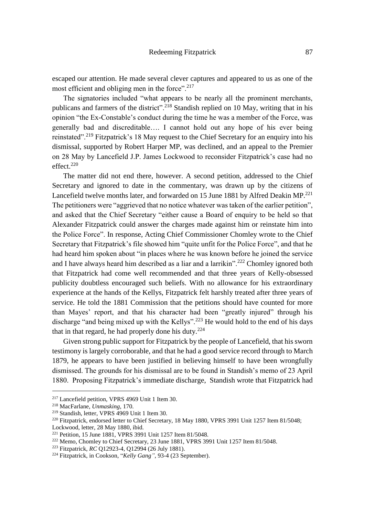escaped our attention. He made several clever captures and appeared to us as one of the most efficient and obliging men in the force".<sup>217</sup>

The signatories included "what appears to be nearly all the prominent merchants, publicans and farmers of the district".<sup>218</sup> Standish replied on 10 May, writing that in his opinion "the Ex-Constable's conduct during the time he was a member of the Force, was generally bad and discreditable…. I cannot hold out any hope of his ever being reinstated".<sup>219</sup> Fitzpatrick's 18 May request to the Chief Secretary for an enquiry into his dismissal, supported by Robert Harper MP, was declined, and an appeal to the Premier on 28 May by Lancefield J.P. James Lockwood to reconsider Fitzpatrick's case had no effect.<sup>220</sup>

The matter did not end there, however. A second petition, addressed to the Chief Secretary and ignored to date in the commentary, was drawn up by the citizens of Lancefield twelve months later, and forwarded on 15 June 1881 by Alfred Deakin MP.<sup>221</sup> The petitioners were "aggrieved that no notice whatever was taken of the earlier petition", and asked that the Chief Secretary "either cause a Board of enquiry to be held so that Alexander Fitzpatrick could answer the charges made against him or reinstate him into the Police Force". In response, Acting Chief Commissioner Chomley wrote to the Chief Secretary that Fitzpatrick's file showed him "quite unfit for the Police Force", and that he had heard him spoken about "in places where he was known before he joined the service and I have always heard him described as a liar and a larrikin".<sup>222</sup> Chomley ignored both that Fitzpatrick had come well recommended and that three years of Kelly-obsessed publicity doubtless encouraged such beliefs. With no allowance for his extraordinary experience at the hands of the Kellys, Fitzpatrick felt harshly treated after three years of service. He told the 1881 Commission that the petitions should have counted for more than Mayes' report, and that his character had been "greatly injured" through his discharge "and being mixed up with the Kellys".<sup>223</sup> He would hold to the end of his days that in that regard, he had properly done his duty.<sup>224</sup>

Given strong public support for Fitzpatrick by the people of Lancefield, that his sworn testimony is largely corroborable, and that he had a good service record through to March 1879, he appears to have been justified in believing himself to have been wrongfully dismissed. The grounds for his dismissal are to be found in Standish's memo of 23 April 1880. Proposing Fitzpatrick's immediate discharge, Standish wrote that Fitzpatrick had

<sup>217</sup> Lancefield petition, VPRS 4969 Unit 1 Item 30.

<sup>218</sup> MacFarlane, *Unmasking*, 170.

<sup>219</sup> Standish, letter, VPRS 4969 Unit 1 Item 30.

<sup>&</sup>lt;sup>220</sup> Fitzpatrick, endorsed letter to Chief Secretary, 18 May 1880, VPRS 3991 Unit 1257 Item 81/5048;

Lockwood, letter, 28 May 1880, ibid.

<sup>&</sup>lt;sup>221</sup> Petition, 15 June 1881, VPRS 3991 Unit 1257 Item 81/5048.

<sup>222</sup> Memo, Chomley to Chief Secretary, 23 June 1881, VPRS 3991 Unit 1257 Item 81/5048.

<sup>223</sup> Fitzpatrick, *RC* Q12923-4, Q12994 (26 July 1881).

<sup>224</sup> Fitzpatrick, in Cookson, "*Kelly Gang"*, 93-4 (23 September).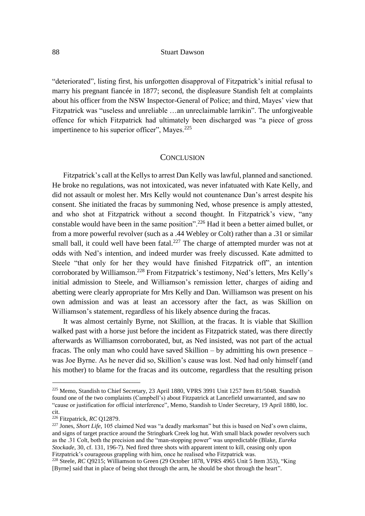"deteriorated", listing first, his unforgotten disapproval of Fitzpatrick's initial refusal to marry his pregnant fiancée in 1877; second, the displeasure Standish felt at complaints about his officer from the NSW Inspector-General of Police; and third, Mayes' view that Fitzpatrick was "useless and unreliable …an unreclaimable larrikin". The unforgiveable offence for which Fitzpatrick had ultimately been discharged was "a piece of gross impertinence to his superior officer", Mayes.<sup>225</sup>

## **CONCLUSION**

Fitzpatrick's call at the Kellys to arrest Dan Kelly was lawful, planned and sanctioned. He broke no regulations, was not intoxicated, was never infatuated with Kate Kelly, and did not assault or molest her. Mrs Kelly would not countenance Dan's arrest despite his consent. She initiated the fracas by summoning Ned, whose presence is amply attested, and who shot at Fitzpatrick without a second thought. In Fitzpatrick's view, "any constable would have been in the same position".<sup>226</sup> Had it been a better aimed bullet, or from a more powerful revolver (such as a .44 Webley or Colt) rather than a .31 or similar small ball, it could well have been fatal.<sup>227</sup> The charge of attempted murder was not at odds with Ned's intention, and indeed murder was freely discussed. Kate admitted to Steele "that only for her they would have finished Fitzpatrick off", an intention corroborated by Williamson.<sup>228</sup> From Fitzpatrick's testimony, Ned's letters, Mrs Kelly's initial admission to Steele, and Williamson's remission letter, charges of aiding and abetting were clearly appropriate for Mrs Kelly and Dan. Williamson was present on his own admission and was at least an accessory after the fact, as was Skillion on Williamson's statement, regardless of his likely absence during the fracas.

It was almost certainly Byrne, not Skillion, at the fracas. It is viable that Skillion walked past with a horse just before the incident as Fitzpatrick stated, was there directly afterwards as Williamson corroborated, but, as Ned insisted, was not part of the actual fracas. The only man who could have saved Skillion – by admitting his own presence – was Joe Byrne. As he never did so, Skillion's cause was lost. Ned had only himself (and his mother) to blame for the fracas and its outcome, regardless that the resulting prison

<sup>225</sup> Memo, Standish to Chief Secretary, 23 April 1880, VPRS 3991 Unit 1257 Item 81/5048. Standish found one of the two complaints (Campbell's) about Fitzpatrick at Lancefield unwarranted, and saw no "cause or justification for official interference", Memo, Standish to Under Secretary, 19 April 1880, loc. cit.

<sup>226</sup> Fitzpatrick, *RC* Q12879.

<sup>&</sup>lt;sup>227</sup> Jones, *Short Life*, 105 claimed Ned was "a deadly marksman" but this is based on Ned's own claims, and signs of target practice around the Stringbark Creek log hut. With small black powder revolvers such as the .31 Colt, both the precision and the "man-stopping power" was unpredictable (Blake, *Eureka Stockade*, 30, cf. 131, 196-7). Ned fired three shots with apparent intent to kill, ceasing only upon Fitzpatrick's courageous grappling with him, once he realised who Fitzpatrick was.

<sup>228</sup> Steele, *RC* Q9215; Williamson to Green (29 October 1878, VPRS 4965 Unit 5 Item 353), "King [Byrne] said that in place of being shot through the arm, he should be shot through the heart".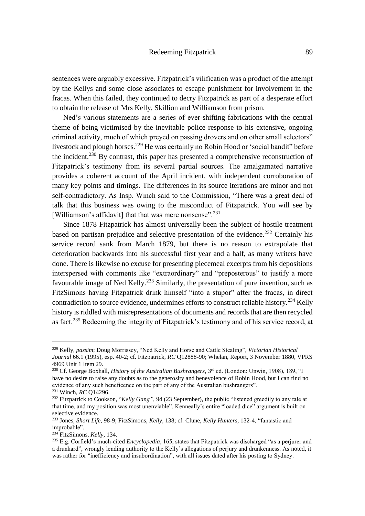sentences were arguably excessive. Fitzpatrick's vilification was a product of the attempt by the Kellys and some close associates to escape punishment for involvement in the fracas. When this failed, they continued to decry Fitzpatrick as part of a desperate effort to obtain the release of Mrs Kelly, Skillion and Williamson from prison.

Ned's various statements are a series of ever-shifting fabrications with the central theme of being victimised by the inevitable police response to his extensive, ongoing criminal activity, much of which preyed on passing drovers and on other small selectors" livestock and plough horses.<sup>229</sup> He was certainly no Robin Hood or 'social bandit'' before the incident.<sup>230</sup> By contrast, this paper has presented a comprehensive reconstruction of Fitzpatrick's testimony from its several partial sources. The amalgamated narrative provides a coherent account of the April incident, with independent corroboration of many key points and timings. The differences in its source iterations are minor and not self-contradictory. As Insp. Winch said to the Commission, "There was a great deal of talk that this business was owing to the misconduct of Fitzpatrick. You will see by [Williamson's affidavit] that that was mere nonsense".<sup>231</sup>

Since 1878 Fitzpatrick has almost universally been the subject of hostile treatment based on partisan prejudice and selective presentation of the evidence.<sup>232</sup> Certainly his service record sank from March 1879, but there is no reason to extrapolate that deterioration backwards into his successful first year and a half, as many writers have done. There is likewise no excuse for presenting piecemeal excerpts from his depositions interspersed with comments like "extraordinary" and "preposterous" to justify a more favourable image of Ned Kelly.<sup>233</sup> Similarly, the presentation of pure invention, such as FitzSimons having Fitzpatrick drink himself "into a stupor" after the fracas, in direct contradiction to source evidence, undermines efforts to construct reliable history.<sup>234</sup> Kelly history is riddled with misrepresentations of documents and records that are then recycled as fact.<sup>235</sup> Redeeming the integrity of Fitzpatrick's testimony and of his service record, at

<sup>229</sup> Kelly, *passim*; Doug Morrissey, "Ned Kelly and Horse and Cattle Stealing", *Victorian Historical Journal* 66.1 (1995), esp. 40-2; cf. Fitzpatrick, *RC* Q12888-90; Whelan, Report, 3 November 1880, VPRS 4969 Unit 1 Item 29.

<sup>230</sup> Cf. George Boxhall, *History of the Australian Bushrangers*, 3rd ed. (London: Unwin, 1908), 189, "I have no desire to raise any doubts as to the generosity and benevolence of Robin Hood, but I can find no evidence of any such beneficence on the part of any of the Australian bushrangers".

<sup>231</sup> Winch, *RC* Q14296.

<sup>&</sup>lt;sup>232</sup> Fitzpatrick to Cookson, "*Kelly Gang*", 94 (23 September), the public "listened greedily to any tale at that time, and my position was most unenviable". Kenneally's entire "loaded dice" argument is built on selective evidence.

<sup>233</sup> Jones, *Short Life*, 98-9; FitzSimons, *Kelly*, 138; cf. Clune, *Kelly Hunters*, 132-4, "fantastic and improbable".

<sup>234</sup> FitzSimons, *Kelly*, 134.

<sup>235</sup> E.g. Corfield's much-cited *Encyclopedia*, 165, states that Fitzpatrick was discharged "as a perjurer and a drunkard", wrongly lending authority to the Kelly's allegations of perjury and drunkenness. As noted, it was rather for "inefficiency and insubordination", with all issues dated after his posting to Sydney.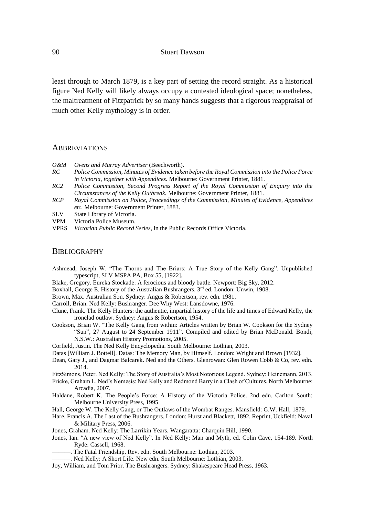least through to March 1879, is a key part of setting the record straight. As a historical figure Ned Kelly will likely always occupy a contested ideological space; nonetheless, the maltreatment of Fitzpatrick by so many hands suggests that a rigorous reappraisal of much other Kelly mythology is in order.

#### ABBREVIATIONS

- *O&M Ovens and Murray Advertiser* (Beechworth).
- *RC Police Commission, Minutes of Evidence taken before the Royal Commission into the Police Force in Victoria, together with Appendices.* Melbourne: Government Printer, 1881.
- *RC2 Police Commission, Second Progress Report of the Royal Commission of Enquiry into the Circumstances of the Kelly Outbreak.* Melbourne: Government Printer, 1881.
- *RCP Royal Commission on Police, Proceedings of the Commission, Minutes of Evidence, Appendices etc.* Melbourne: Government Printer, 1883.
- SLV State Library of Victoria.
- VPM Victoria Police Museum.
- VPRS *Victorian Public Record Series*, in the Public Records Office Victoria.

# **BIBLIOGRAPHY**

- Ashmead, Joseph W. "The Thorns and The Briars: A True Story of the Kelly Gang". Unpublished typescript, SLV MSPA PA, Box 55, [1922].
- Blake, Gregory. Eureka Stockade: A ferocious and bloody battle. Newport: Big Sky, 2012.
- Boxhall, George E. History of the Australian Bushrangers. 3<sup>rd</sup> ed. London: Unwin, 1908.
- Brown, Max. Australian Son. Sydney: Angus & Robertson, rev. edn. 1981.
- Carroll, Brian. Ned Kelly: Bushranger. Dee Why West: Lansdowne, 1976.
- Clune, Frank. The Kelly Hunters: the authentic, impartial history of the life and times of Edward Kelly, the ironclad outlaw. Sydney: Angus & Robertson, 1954.
- Cookson, Brian W. "The Kelly Gang from within: Articles written by Brian W. Cookson for the Sydney "Sun", 27 August to 24 September 1911". Compiled and edited by Brian McDonald. Bondi, N.S.W.: Australian History Promotions, 2005.

Corfield, Justin. The Ned Kelly Encyclopedia. South Melbourne: Lothian, 2003.

- Datas [William J. Bottell]. Datas: The Memory Man, by Himself. London: Wright and Brown [1932].
- Dean, Gary J., and Dagmar Balcarek. Ned and the Others. Glenrowan: Glen Rowen Cobb & Co, rev. edn. 2014.
- FitzSimons, Peter. Ned Kelly: The Story of Australia's Most Notorious Legend. Sydney: Heinemann, 2013.
- Fricke, Graham L. Ned's Nemesis: Ned Kelly and Redmond Barry in a Clash of Cultures. North Melbourne: Arcadia, 2007.
- Haldane, Robert K. The People's Force: A History of the Victoria Police. 2nd edn. Carlton South: Melbourne University Press, 1995.
- Hall, George W. The Kelly Gang, or The Outlaws of the Wombat Ranges. Mansfield: G.W. Hall, 1879.
- Hare, Francis A. The Last of the Bushrangers. London: Hurst and Blackett, 1892. Reprint, Uckfield: Naval & Military Press, 2006.
- Jones, Graham. Ned Kelly: The Larrikin Years. Wangaratta: Charquin Hill, 1990.
- Jones, Ian. "A new view of Ned Kelly". In Ned Kelly: Man and Myth, ed. Colin Cave, 154-189. North Ryde: Cassell, 1968.
- ———. The Fatal Friendship. Rev. edn. South Melbourne: Lothian, 2003.
- ———. Ned Kelly: A Short Life. New edn. South Melbourne: Lothian, 2003.
- Joy, William, and Tom Prior. The Bushrangers. Sydney: Shakespeare Head Press, 1963.